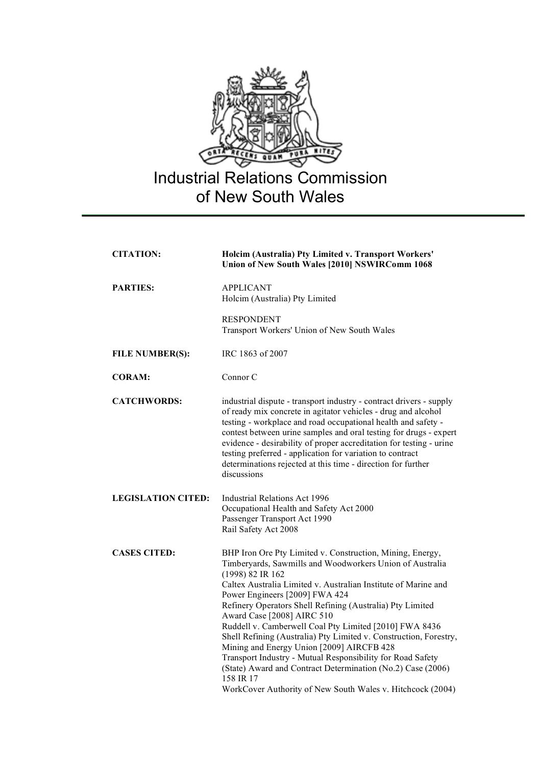

| <b>CITATION:</b>          | Holcim (Australia) Pty Limited v. Transport Workers'<br>Union of New South Wales [2010] NSWIRComm 1068                                                                                                                                                                                                                                                                                                                                                                                                                                                                                                                                                                                                                       |
|---------------------------|------------------------------------------------------------------------------------------------------------------------------------------------------------------------------------------------------------------------------------------------------------------------------------------------------------------------------------------------------------------------------------------------------------------------------------------------------------------------------------------------------------------------------------------------------------------------------------------------------------------------------------------------------------------------------------------------------------------------------|
| <b>PARTIES:</b>           | <b>APPLICANT</b><br>Holcim (Australia) Pty Limited                                                                                                                                                                                                                                                                                                                                                                                                                                                                                                                                                                                                                                                                           |
|                           | <b>RESPONDENT</b><br>Transport Workers' Union of New South Wales                                                                                                                                                                                                                                                                                                                                                                                                                                                                                                                                                                                                                                                             |
| <b>FILE NUMBER(S):</b>    | IRC 1863 of 2007                                                                                                                                                                                                                                                                                                                                                                                                                                                                                                                                                                                                                                                                                                             |
| <b>CORAM:</b>             | Connor C                                                                                                                                                                                                                                                                                                                                                                                                                                                                                                                                                                                                                                                                                                                     |
| <b>CATCHWORDS:</b>        | industrial dispute - transport industry - contract drivers - supply<br>of ready mix concrete in agitator vehicles - drug and alcohol<br>testing - workplace and road occupational health and safety -<br>contest between urine samples and oral testing for drugs - expert<br>evidence - desirability of proper accreditation for testing - urine<br>testing preferred - application for variation to contract<br>determinations rejected at this time - direction for further<br>discussions                                                                                                                                                                                                                                |
| <b>LEGISLATION CITED:</b> | <b>Industrial Relations Act 1996</b><br>Occupational Health and Safety Act 2000<br>Passenger Transport Act 1990<br>Rail Safety Act 2008                                                                                                                                                                                                                                                                                                                                                                                                                                                                                                                                                                                      |
| <b>CASES CITED:</b>       | BHP Iron Ore Pty Limited v. Construction, Mining, Energy,<br>Timberyards, Sawmills and Woodworkers Union of Australia<br>(1998) 82 IR 162<br>Caltex Australia Limited v. Australian Institute of Marine and<br>Power Engineers [2009] FWA 424<br>Refinery Operators Shell Refining (Australia) Pty Limited<br>Award Case [2008] AIRC 510<br>Ruddell v. Camberwell Coal Pty Limited [2010] FWA 8436<br>Shell Refining (Australia) Pty Limited v. Construction, Forestry,<br>Mining and Energy Union [2009] AIRCFB 428<br>Transport Industry - Mutual Responsibility for Road Safety<br>(State) Award and Contract Determination (No.2) Case (2006)<br>158 IR 17<br>WorkCover Authority of New South Wales v. Hitchcock (2004) |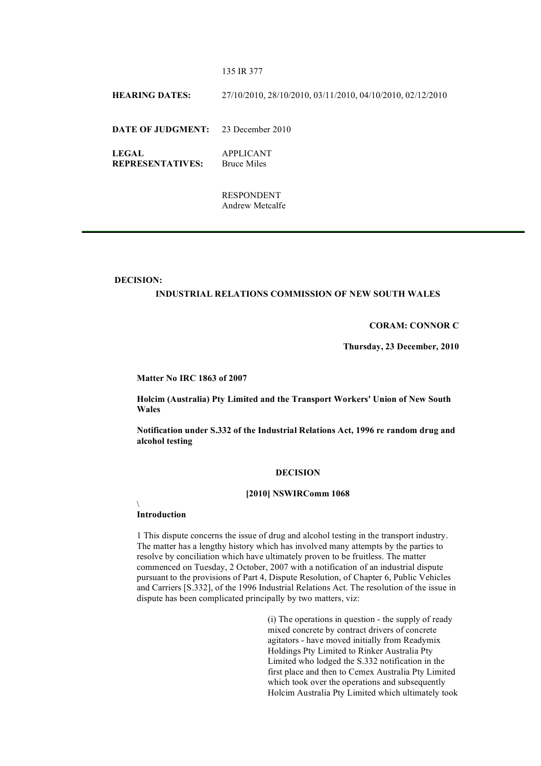### 135 IR 377

**HEARING DATES:** 27/10/2010, 28/10/2010, 03/11/2010, 04/10/2010, 02/12/2010

**DATE OF JUDGMENT:** 23 December 2010

**LEGAL REPRESENTATIVES:** APPLICANT Bruce Miles

> RESPONDENT Andrew Metcalfe

#### **DECISION:**

## **INDUSTRIAL RELATIONS COMMISSION OF NEW SOUTH WALES**

## **CORAM: CONNOR C**

**Thursday, 23 December, 2010**

**Matter No IRC 1863 of 2007**

**Holcim (Australia) Pty Limited and the Transport Workers' Union of New South Wales**

**Notification under S.332 of the Industrial Relations Act, 1996 re random drug and alcohol testing**

#### **DECISION**

### **[2010] NSWIRComm 1068**

 $\setminus$ 

## **Introduction**

1 This dispute concerns the issue of drug and alcohol testing in the transport industry. The matter has a lengthy history which has involved many attempts by the parties to resolve by conciliation which have ultimately proven to be fruitless. The matter commenced on Tuesday, 2 October, 2007 with a notification of an industrial dispute pursuant to the provisions of Part 4, Dispute Resolution, of Chapter 6, Public Vehicles and Carriers [S.332], of the 1996 Industrial Relations Act. The resolution of the issue in dispute has been complicated principally by two matters, viz:

> (i) The operations in question - the supply of ready mixed concrete by contract drivers of concrete agitators - have moved initially from Readymix Holdings Pty Limited to Rinker Australia Pty Limited who lodged the S.332 notification in the first place and then to Cemex Australia Pty Limited which took over the operations and subsequently Holcim Australia Pty Limited which ultimately took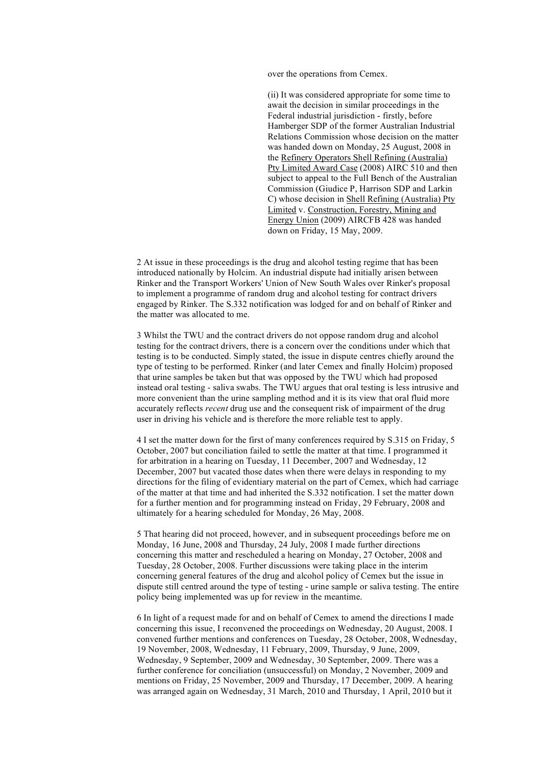over the operations from Cemex.

(ii) It was considered appropriate for some time to await the decision in similar proceedings in the Federal industrial jurisdiction - firstly, before Hamberger SDP of the former Australian Industrial Relations Commission whose decision on the matter was handed down on Monday, 25 August, 2008 in the Refinery Operators Shell Refining (Australia) Pty Limited Award Case (2008) AIRC 510 and then subject to appeal to the Full Bench of the Australian Commission (Giudice P, Harrison SDP and Larkin C) whose decision in Shell Refining (Australia) Pty Limited v. Construction, Forestry, Mining and Energy Union (2009) AIRCFB 428 was handed down on Friday, 15 May, 2009.

2 At issue in these proceedings is the drug and alcohol testing regime that has been introduced nationally by Holcim. An industrial dispute had initially arisen between Rinker and the Transport Workers' Union of New South Wales over Rinker's proposal to implement a programme of random drug and alcohol testing for contract drivers engaged by Rinker. The S.332 notification was lodged for and on behalf of Rinker and the matter was allocated to me.

3 Whilst the TWU and the contract drivers do not oppose random drug and alcohol testing for the contract drivers, there is a concern over the conditions under which that testing is to be conducted. Simply stated, the issue in dispute centres chiefly around the type of testing to be performed. Rinker (and later Cemex and finally Holcim) proposed that urine samples be taken but that was opposed by the TWU which had proposed instead oral testing - saliva swabs. The TWU argues that oral testing is less intrusive and more convenient than the urine sampling method and it is its view that oral fluid more accurately reflects *recent* drug use and the consequent risk of impairment of the drug user in driving his vehicle and is therefore the more reliable test to apply.

4 I set the matter down for the first of many conferences required by S.315 on Friday, 5 October, 2007 but conciliation failed to settle the matter at that time. I programmed it for arbitration in a hearing on Tuesday, 11 December, 2007 and Wednesday, 12 December, 2007 but vacated those dates when there were delays in responding to my directions for the filing of evidentiary material on the part of Cemex, which had carriage of the matter at that time and had inherited the S.332 notification. I set the matter down for a further mention and for programming instead on Friday, 29 February, 2008 and ultimately for a hearing scheduled for Monday, 26 May, 2008.

5 That hearing did not proceed, however, and in subsequent proceedings before me on Monday, 16 June, 2008 and Thursday, 24 July, 2008 I made further directions concerning this matter and rescheduled a hearing on Monday, 27 October, 2008 and Tuesday, 28 October, 2008. Further discussions were taking place in the interim concerning general features of the drug and alcohol policy of Cemex but the issue in dispute still centred around the type of testing - urine sample or saliva testing. The entire policy being implemented was up for review in the meantime.

6 In light of a request made for and on behalf of Cemex to amend the directions I made concerning this issue, I reconvened the proceedings on Wednesday, 20 August, 2008. I convened further mentions and conferences on Tuesday, 28 October, 2008, Wednesday, 19 November, 2008, Wednesday, 11 February, 2009, Thursday, 9 June, 2009, Wednesday, 9 September, 2009 and Wednesday, 30 September, 2009. There was a further conference for conciliation (unsuccessful) on Monday, 2 November, 2009 and mentions on Friday, 25 November, 2009 and Thursday, 17 December, 2009. A hearing was arranged again on Wednesday, 31 March, 2010 and Thursday, 1 April, 2010 but it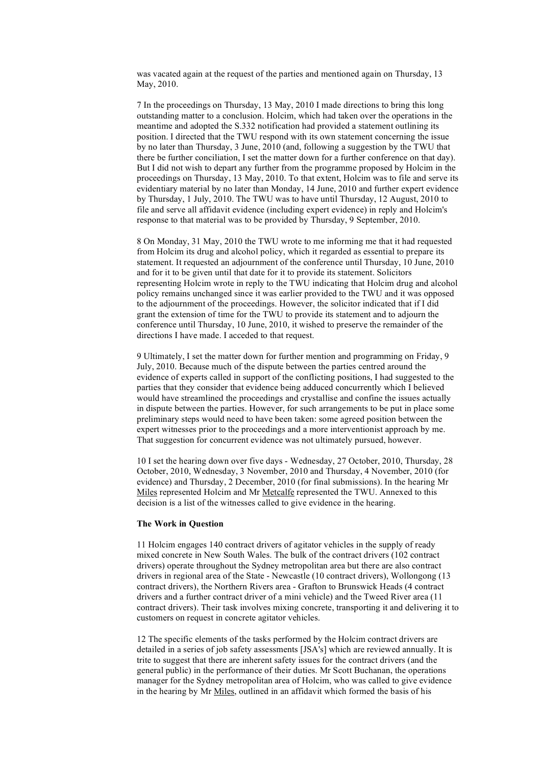was vacated again at the request of the parties and mentioned again on Thursday, 13 May, 2010.

7 In the proceedings on Thursday, 13 May, 2010 I made directions to bring this long outstanding matter to a conclusion. Holcim, which had taken over the operations in the meantime and adopted the S.332 notification had provided a statement outlining its position. I directed that the TWU respond with its own statement concerning the issue by no later than Thursday, 3 June, 2010 (and, following a suggestion by the TWU that there be further conciliation, I set the matter down for a further conference on that day). But I did not wish to depart any further from the programme proposed by Holcim in the proceedings on Thursday, 13 May, 2010. To that extent, Holcim was to file and serve its evidentiary material by no later than Monday, 14 June, 2010 and further expert evidence by Thursday, 1 July, 2010. The TWU was to have until Thursday, 12 August, 2010 to file and serve all affidavit evidence (including expert evidence) in reply and Holcim's response to that material was to be provided by Thursday, 9 September, 2010.

8 On Monday, 31 May, 2010 the TWU wrote to me informing me that it had requested from Holcim its drug and alcohol policy, which it regarded as essential to prepare its statement. It requested an adjournment of the conference until Thursday, 10 June, 2010 and for it to be given until that date for it to provide its statement. Solicitors representing Holcim wrote in reply to the TWU indicating that Holcim drug and alcohol policy remains unchanged since it was earlier provided to the TWU and it was opposed to the adjournment of the proceedings. However, the solicitor indicated that if I did grant the extension of time for the TWU to provide its statement and to adjourn the conference until Thursday, 10 June, 2010, it wished to preserve the remainder of the directions I have made. I acceded to that request.

9 Ultimately, I set the matter down for further mention and programming on Friday, 9 July, 2010. Because much of the dispute between the parties centred around the evidence of experts called in support of the conflicting positions, I had suggested to the parties that they consider that evidence being adduced concurrently which I believed would have streamlined the proceedings and crystallise and confine the issues actually in dispute between the parties. However, for such arrangements to be put in place some preliminary steps would need to have been taken: some agreed position between the expert witnesses prior to the proceedings and a more interventionist approach by me. That suggestion for concurrent evidence was not ultimately pursued, however.

10 I set the hearing down over five days - Wednesday, 27 October, 2010, Thursday, 28 October, 2010, Wednesday, 3 November, 2010 and Thursday, 4 November, 2010 (for evidence) and Thursday, 2 December, 2010 (for final submissions). In the hearing Mr Miles represented Holcim and Mr Metcalfe represented the TWU. Annexed to this decision is a list of the witnesses called to give evidence in the hearing.

## **The Work in Question**

11 Holcim engages 140 contract drivers of agitator vehicles in the supply of ready mixed concrete in New South Wales. The bulk of the contract drivers (102 contract drivers) operate throughout the Sydney metropolitan area but there are also contract drivers in regional area of the State - Newcastle (10 contract drivers), Wollongong (13 contract drivers), the Northern Rivers area - Grafton to Brunswick Heads (4 contract drivers and a further contract driver of a mini vehicle) and the Tweed River area (11 contract drivers). Their task involves mixing concrete, transporting it and delivering it to customers on request in concrete agitator vehicles.

12 The specific elements of the tasks performed by the Holcim contract drivers are detailed in a series of job safety assessments [JSA's] which are reviewed annually. It is trite to suggest that there are inherent safety issues for the contract drivers (and the general public) in the performance of their duties. Mr Scott Buchanan, the operations manager for the Sydney metropolitan area of Holcim, who was called to give evidence in the hearing by Mr Miles, outlined in an affidavit which formed the basis of his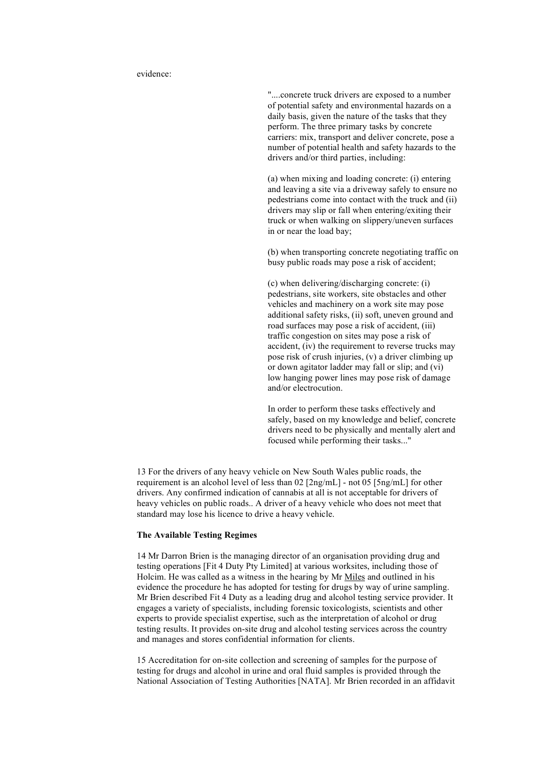evidence:

"....concrete truck drivers are exposed to a number of potential safety and environmental hazards on a daily basis, given the nature of the tasks that they perform. The three primary tasks by concrete carriers: mix, transport and deliver concrete, pose a number of potential health and safety hazards to the drivers and/or third parties, including:

(a) when mixing and loading concrete: (i) entering and leaving a site via a driveway safely to ensure no pedestrians come into contact with the truck and (ii) drivers may slip or fall when entering/exiting their truck or when walking on slippery/uneven surfaces in or near the load bay;

(b) when transporting concrete negotiating traffic on busy public roads may pose a risk of accident;

(c) when delivering/discharging concrete: (i) pedestrians, site workers, site obstacles and other vehicles and machinery on a work site may pose additional safety risks, (ii) soft, uneven ground and road surfaces may pose a risk of accident, (iii) traffic congestion on sites may pose a risk of accident, (iv) the requirement to reverse trucks may pose risk of crush injuries, (v) a driver climbing up or down agitator ladder may fall or slip; and (vi) low hanging power lines may pose risk of damage and/or electrocution.

In order to perform these tasks effectively and safely, based on my knowledge and belief, concrete drivers need to be physically and mentally alert and focused while performing their tasks..."

13 For the drivers of any heavy vehicle on New South Wales public roads, the requirement is an alcohol level of less than 02 [2ng/mL] - not 05 [5ng/mL] for other drivers. Any confirmed indication of cannabis at all is not acceptable for drivers of heavy vehicles on public roads.. A driver of a heavy vehicle who does not meet that standard may lose his licence to drive a heavy vehicle.

## **The Available Testing Regimes**

14 Mr Darron Brien is the managing director of an organisation providing drug and testing operations [Fit 4 Duty Pty Limited] at various worksites, including those of Holcim. He was called as a witness in the hearing by Mr Miles and outlined in his evidence the procedure he has adopted for testing for drugs by way of urine sampling. Mr Brien described Fit 4 Duty as a leading drug and alcohol testing service provider. It engages a variety of specialists, including forensic toxicologists, scientists and other experts to provide specialist expertise, such as the interpretation of alcohol or drug testing results. It provides on-site drug and alcohol testing services across the country and manages and stores confidential information for clients.

15 Accreditation for on-site collection and screening of samples for the purpose of testing for drugs and alcohol in urine and oral fluid samples is provided through the National Association of Testing Authorities [NATA]. Mr Brien recorded in an affidavit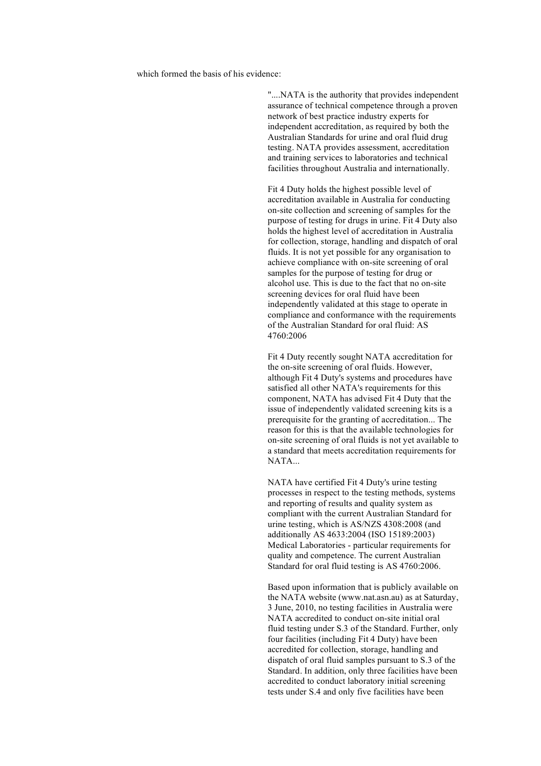which formed the basis of his evidence:

"....NATA is the authority that provides independent assurance of technical competence through a proven network of best practice industry experts for independent accreditation, as required by both the Australian Standards for urine and oral fluid drug testing. NATA provides assessment, accreditation and training services to laboratories and technical facilities throughout Australia and internationally.

Fit 4 Duty holds the highest possible level of accreditation available in Australia for conducting on-site collection and screening of samples for the purpose of testing for drugs in urine. Fit 4 Duty also holds the highest level of accreditation in Australia for collection, storage, handling and dispatch of oral fluids. It is not yet possible for any organisation to achieve compliance with on-site screening of oral samples for the purpose of testing for drug or alcohol use. This is due to the fact that no on-site screening devices for oral fluid have been independently validated at this stage to operate in compliance and conformance with the requirements of the Australian Standard for oral fluid: AS 4760:2006

Fit 4 Duty recently sought NATA accreditation for the on-site screening of oral fluids. However, although Fit 4 Duty's systems and procedures have satisfied all other NATA's requirements for this component, NATA has advised Fit 4 Duty that the issue of independently validated screening kits is a prerequisite for the granting of accreditation... The reason for this is that the available technologies for on-site screening of oral fluids is not yet available to a standard that meets accreditation requirements for NATA...

NATA have certified Fit 4 Duty's urine testing processes in respect to the testing methods, systems and reporting of results and quality system as compliant with the current Australian Standard for urine testing, which is AS/NZS 4308:2008 (and additionally AS 4633:2004 (ISO 15189:2003) Medical Laboratories - particular requirements for quality and competence. The current Australian Standard for oral fluid testing is AS 4760:2006.

Based upon information that is publicly available on the NATA website (www.nat.asn.au) as at Saturday, 3 June, 2010, no testing facilities in Australia were NATA accredited to conduct on-site initial oral fluid testing under S.3 of the Standard. Further, only four facilities (including Fit 4 Duty) have been accredited for collection, storage, handling and dispatch of oral fluid samples pursuant to S.3 of the Standard. In addition, only three facilities have been accredited to conduct laboratory initial screening tests under S.4 and only five facilities have been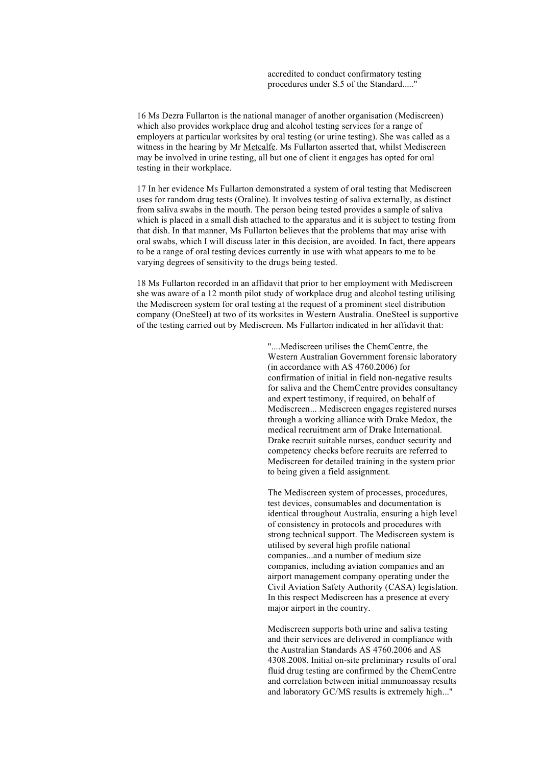accredited to conduct confirmatory testing procedures under S.5 of the Standard....."

16 Ms Dezra Fullarton is the national manager of another organisation (Mediscreen) which also provides workplace drug and alcohol testing services for a range of employers at particular worksites by oral testing (or urine testing). She was called as a witness in the hearing by Mr Metcalfe. Ms Fullarton asserted that, whilst Mediscreen may be involved in urine testing, all but one of client it engages has opted for oral testing in their workplace.

17 In her evidence Ms Fullarton demonstrated a system of oral testing that Mediscreen uses for random drug tests (Oraline). It involves testing of saliva externally, as distinct from saliva swabs in the mouth. The person being tested provides a sample of saliva which is placed in a small dish attached to the apparatus and it is subject to testing from that dish. In that manner, Ms Fullarton believes that the problems that may arise with oral swabs, which I will discuss later in this decision, are avoided. In fact, there appears to be a range of oral testing devices currently in use with what appears to me to be varying degrees of sensitivity to the drugs being tested.

18 Ms Fullarton recorded in an affidavit that prior to her employment with Mediscreen she was aware of a 12 month pilot study of workplace drug and alcohol testing utilising the Mediscreen system for oral testing at the request of a prominent steel distribution company (OneSteel) at two of its worksites in Western Australia. OneSteel is supportive of the testing carried out by Mediscreen. Ms Fullarton indicated in her affidavit that:

> "....Mediscreen utilises the ChemCentre, the Western Australian Government forensic laboratory (in accordance with AS 4760.2006) for confirmation of initial in field non-negative results for saliva and the ChemCentre provides consultancy and expert testimony, if required, on behalf of Mediscreen... Mediscreen engages registered nurses through a working alliance with Drake Medox, the medical recruitment arm of Drake International. Drake recruit suitable nurses, conduct security and competency checks before recruits are referred to Mediscreen for detailed training in the system prior to being given a field assignment.

> The Mediscreen system of processes, procedures, test devices, consumables and documentation is identical throughout Australia, ensuring a high level of consistency in protocols and procedures with strong technical support. The Mediscreen system is utilised by several high profile national companies...and a number of medium size companies, including aviation companies and an airport management company operating under the Civil Aviation Safety Authority (CASA) legislation. In this respect Mediscreen has a presence at every major airport in the country.

Mediscreen supports both urine and saliva testing and their services are delivered in compliance with the Australian Standards AS 4760.2006 and AS 4308.2008. Initial on-site preliminary results of oral fluid drug testing are confirmed by the ChemCentre and correlation between initial immunoassay results and laboratory GC/MS results is extremely high..."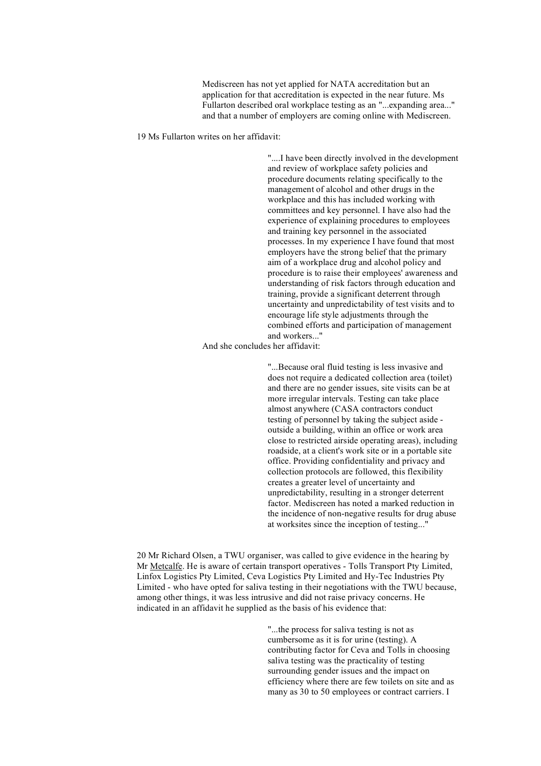Mediscreen has not yet applied for NATA accreditation but an application for that accreditation is expected in the near future. Ms Fullarton described oral workplace testing as an "...expanding area..." and that a number of employers are coming online with Mediscreen.

19 Ms Fullarton writes on her affidavit:

"....I have been directly involved in the development and review of workplace safety policies and procedure documents relating specifically to the management of alcohol and other drugs in the workplace and this has included working with committees and key personnel. I have also had the experience of explaining procedures to employees and training key personnel in the associated processes. In my experience I have found that most employers have the strong belief that the primary aim of a workplace drug and alcohol policy and procedure is to raise their employees' awareness and understanding of risk factors through education and training, provide a significant deterrent through uncertainty and unpredictability of test visits and to encourage life style adjustments through the combined efforts and participation of management and workers..."

And she concludes her affidavit:

"...Because oral fluid testing is less invasive and does not require a dedicated collection area (toilet) and there are no gender issues, site visits can be at more irregular intervals. Testing can take place almost anywhere (CASA contractors conduct testing of personnel by taking the subject aside outside a building, within an office or work area close to restricted airside operating areas), including roadside, at a client's work site or in a portable site office. Providing confidentiality and privacy and collection protocols are followed, this flexibility creates a greater level of uncertainty and unpredictability, resulting in a stronger deterrent factor. Mediscreen has noted a marked reduction in the incidence of non-negative results for drug abuse at worksites since the inception of testing..."

20 Mr Richard Olsen, a TWU organiser, was called to give evidence in the hearing by Mr Metcalfe. He is aware of certain transport operatives - Tolls Transport Pty Limited, Linfox Logistics Pty Limited, Ceva Logistics Pty Limited and Hy-Tec Industries Pty Limited - who have opted for saliva testing in their negotiations with the TWU because, among other things, it was less intrusive and did not raise privacy concerns. He indicated in an affidavit he supplied as the basis of his evidence that:

> "...the process for saliva testing is not as cumbersome as it is for urine (testing). A contributing factor for Ceva and Tolls in choosing saliva testing was the practicality of testing surrounding gender issues and the impact on efficiency where there are few toilets on site and as many as 30 to 50 employees or contract carriers. I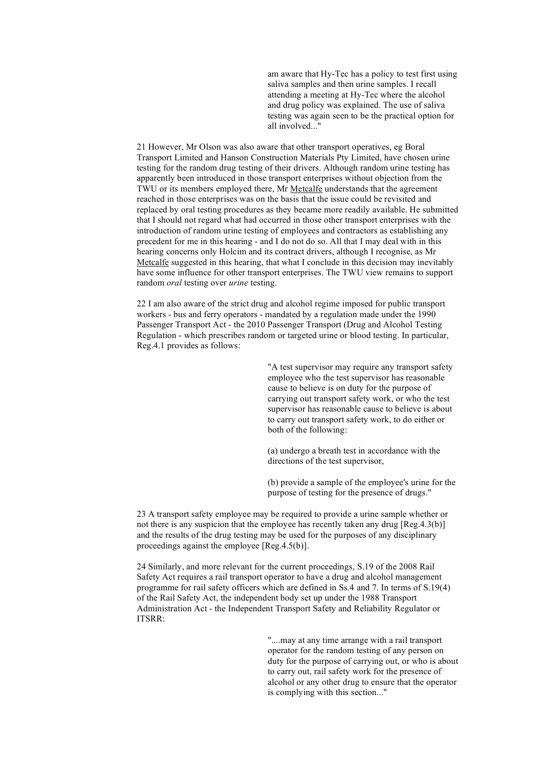am aware that Hy-Tec has a policy to test first using saliva samples and then urine samples. I recall attending a meeting at Hy-Tec where the alcohol and drug policy was explained. The use of saliva testing was again seen to be the practical option for all involved..."

21 However, Mr Olson was also aware that other transport operatives, eg Boral Transport Limited and Hanson Construction Materials Pty Limited, have chosen urine testing for the random drug testing of their drivers. Although random urine testing has apparently been introduced in those transport enterprises without objection from the TWU or its members employed there, Mr Metcalfe understands that the agreement reached in those enterprises was on the basis that the issue could be revisited and replaced by oral testing procedures as they became more readily available. He submitted that I should not regard what had occurred in those other transport enterprises with the introduction of random urine testing of employees and contractors as establishing any precedent for me in this hearing - and I do not do so. All that I may deal with in this hearing concerns only Holcim and its contract drivers, although I recognise, as Mr Metcalfe suggested in this hearing, that what I conclude in this decision may inevitably have some influence for other transport enterprises. The TWU view remains to support random *oral* testing over *urine* testing.

22 I am also aware of the strict drug and alcohol regime imposed for public transport workers - bus and ferry operators - mandated by a regulation made under the 1990 Passenger Transport Act - the 2010 Passenger Transport (Drug and Alcohol Testing Regulation - which prescribes random or targeted urine or blood testing. In particular, Reg.4.1 provides as follows:

> "A test supervisor may require any transport safety employee who the test supervisor has reasonable cause to believe is on duty for the purpose of carrying out transport safety work, or who the test supervisor has reasonable cause to believe is about to carry out transport safety work, to do either or both of the following:

(a) undergo a breath test in accordance with the directions of the test supervisor,

(b) provide a sample of the employee's urine for the purpose of testing for the presence of drugs."

23 A transport safety employee may be required to provide a urine sample whether or not there is any suspicion that the employee has recently taken any drug [Reg.4.3(b)] and the results of the drug testing may be used for the purposes of any disciplinary proceedings against the employee [Reg.4.5(b)].

24 Similarly, and more relevant for the current proceedings, S.19 of the 2008 Rail Safety Act requires a rail transport operator to have a drug and alcohol management programme for rail safety officers which are defined in Ss.4 and 7. In terms of S.19(4) of the Rail Safety Act, the independent body set up under the 1988 Transport Administration Act - the Independent Transport Safety and Reliability Regulator or ITSRR:

> "....may at any time arrange with a rail transport operator for the random testing of any person on duty for the purpose of carrying out, or who is about to carry out, rail safety work for the presence of alcohol or any other drug to ensure that the operator is complying with this section..."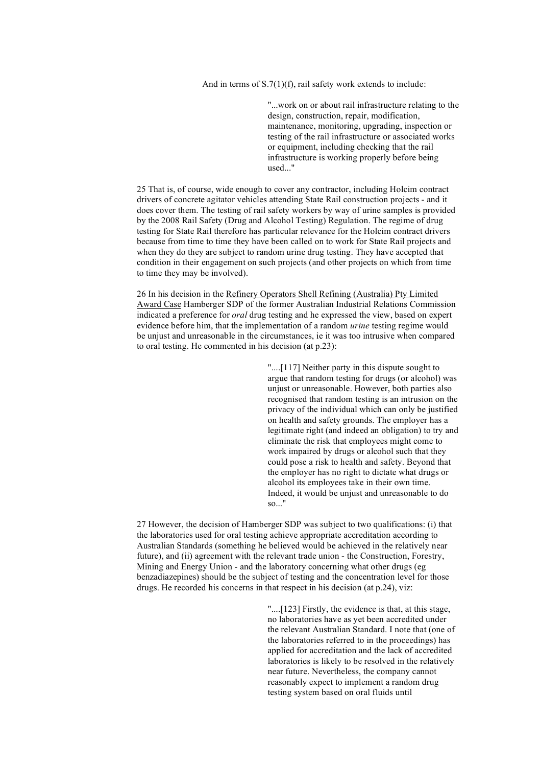And in terms of S.7(1)(f), rail safety work extends to include:

"...work on or about rail infrastructure relating to the design, construction, repair, modification, maintenance, monitoring, upgrading, inspection or testing of the rail infrastructure or associated works or equipment, including checking that the rail infrastructure is working properly before being used..."

25 That is, of course, wide enough to cover any contractor, including Holcim contract drivers of concrete agitator vehicles attending State Rail construction projects - and it does cover them. The testing of rail safety workers by way of urine samples is provided by the 2008 Rail Safety (Drug and Alcohol Testing) Regulation. The regime of drug testing for State Rail therefore has particular relevance for the Holcim contract drivers because from time to time they have been called on to work for State Rail projects and when they do they are subject to random urine drug testing. They have accepted that condition in their engagement on such projects (and other projects on which from time to time they may be involved).

26 In his decision in the Refinery Operators Shell Refining (Australia) Pty Limited Award Case Hamberger SDP of the former Australian Industrial Relations Commission indicated a preference for *oral* drug testing and he expressed the view, based on expert evidence before him, that the implementation of a random *urine* testing regime would be unjust and unreasonable in the circumstances, ie it was too intrusive when compared to oral testing. He commented in his decision (at p.23):

> "....[117] Neither party in this dispute sought to argue that random testing for drugs (or alcohol) was unjust or unreasonable. However, both parties also recognised that random testing is an intrusion on the privacy of the individual which can only be justified on health and safety grounds. The employer has a legitimate right (and indeed an obligation) to try and eliminate the risk that employees might come to work impaired by drugs or alcohol such that they could pose a risk to health and safety. Beyond that the employer has no right to dictate what drugs or alcohol its employees take in their own time. Indeed, it would be unjust and unreasonable to do so..."

27 However, the decision of Hamberger SDP was subject to two qualifications: (i) that the laboratories used for oral testing achieve appropriate accreditation according to Australian Standards (something he believed would be achieved in the relatively near future), and (ii) agreement with the relevant trade union - the Construction, Forestry, Mining and Energy Union - and the laboratory concerning what other drugs (eg benzadiazepines) should be the subject of testing and the concentration level for those drugs. He recorded his concerns in that respect in his decision (at p.24), viz:

> "....[123] Firstly, the evidence is that, at this stage, no laboratories have as yet been accredited under the relevant Australian Standard. I note that (one of the laboratories referred to in the proceedings) has applied for accreditation and the lack of accredited laboratories is likely to be resolved in the relatively near future. Nevertheless, the company cannot reasonably expect to implement a random drug testing system based on oral fluids until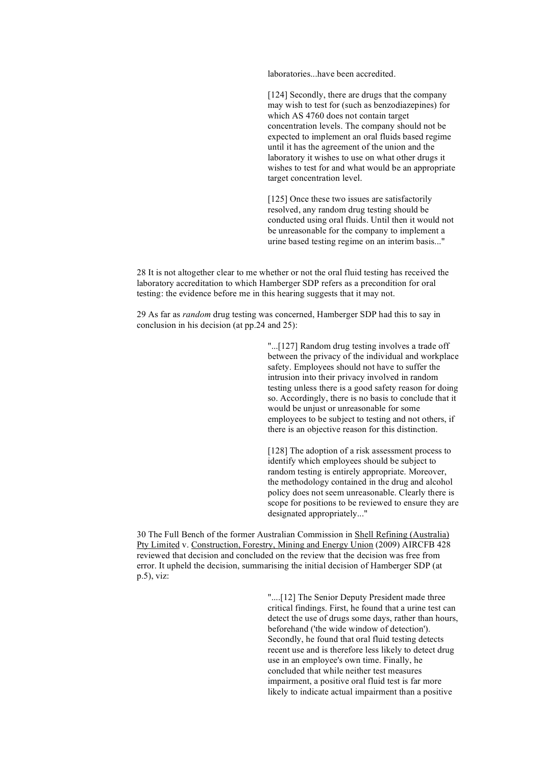laboratories...have been accredited.

[124] Secondly, there are drugs that the company may wish to test for (such as benzodiazepines) for which AS 4760 does not contain target concentration levels. The company should not be expected to implement an oral fluids based regime until it has the agreement of the union and the laboratory it wishes to use on what other drugs it wishes to test for and what would be an appropriate target concentration level.

[125] Once these two issues are satisfactorily resolved, any random drug testing should be conducted using oral fluids. Until then it would not be unreasonable for the company to implement a urine based testing regime on an interim basis..."

28 It is not altogether clear to me whether or not the oral fluid testing has received the laboratory accreditation to which Hamberger SDP refers as a precondition for oral testing: the evidence before me in this hearing suggests that it may not.

29 As far as *random* drug testing was concerned, Hamberger SDP had this to say in conclusion in his decision (at pp.24 and 25):

> "...[127] Random drug testing involves a trade off between the privacy of the individual and workplace safety. Employees should not have to suffer the intrusion into their privacy involved in random testing unless there is a good safety reason for doing so. Accordingly, there is no basis to conclude that it would be unjust or unreasonable for some employees to be subject to testing and not others, if there is an objective reason for this distinction.

> [128] The adoption of a risk assessment process to identify which employees should be subject to random testing is entirely appropriate. Moreover, the methodology contained in the drug and alcohol policy does not seem unreasonable. Clearly there is scope for positions to be reviewed to ensure they are designated appropriately..."

30 The Full Bench of the former Australian Commission in Shell Refining (Australia) Pty Limited v. Construction, Forestry, Mining and Energy Union (2009) AIRCFB 428 reviewed that decision and concluded on the review that the decision was free from error. It upheld the decision, summarising the initial decision of Hamberger SDP (at p.5), viz:

> "....[12] The Senior Deputy President made three critical findings. First, he found that a urine test can detect the use of drugs some days, rather than hours, beforehand ('the wide window of detection'). Secondly, he found that oral fluid testing detects recent use and is therefore less likely to detect drug use in an employee's own time. Finally, he concluded that while neither test measures impairment, a positive oral fluid test is far more likely to indicate actual impairment than a positive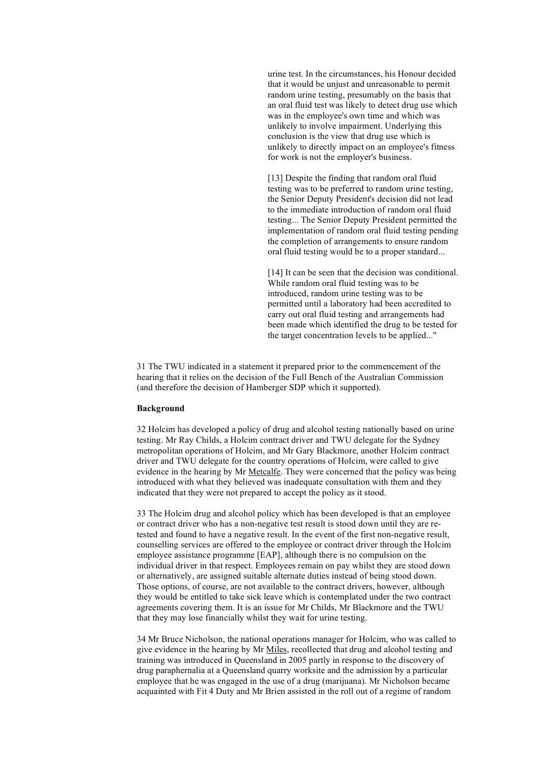urine test. In the circumstances, his Honour decided that it would be unjust and unreasonable to permit random urine testing, presumably on the basis that an oral fluid test was likely to detect drug use which was in the employee's own time and which was unlikely to involve impairment. Underlying this conclusion is the view that drug use which is unlikely to directly impact on an employee's fitness for work is not the employer's business.

[13] Despite the finding that random oral fluid testing was to be preferred to random urine testing, the Senior Deputy President's decision did not lead to the immediate introduction of random oral fluid testing... The Senior Deputy President permitted the implementation of random oral fluid testing pending the completion of arrangements to ensure random oral fluid testing would be to a proper standard...

[14] It can be seen that the decision was conditional. While random oral fluid testing was to be introduced, random urine testing was to be permitted until a laboratory had been accredited to carry out oral fluid testing and arrangements had been made which identified the drug to be tested for the target concentration levels to be applied..."

31 The TWU indicated in a statement it prepared prior to the commencement of the hearing that it relies on the decision of the Full Bench of the Australian Commission (and therefore the decision of Hamberger SDP which it supported).

### **Background**

32 Holcim has developed a policy of drug and alcohol testing nationally based on urine testing. Mr Ray Childs, a Holcim contract driver and TWU delegate for the Sydney metropolitan operations of Holcim, and Mr Gary Blackmore, another Holcim contract driver and TWU delegate for the country operations of Holcim, were called to give evidence in the hearing by Mr Metcalfe. They were concerned that the policy was being introduced with what they believed was inadequate consultation with them and they indicated that they were not prepared to accept the policy as it stood.

33 The Holcim drug and alcohol policy which has been developed is that an employee or contract driver who has a non-negative test result is stood down until they are retested and found to have a negative result. In the event of the first non-negative result, counselling services are offered to the employee or contract driver through the Holcim employee assistance programme [EAP], although there is no compulsion on the individual driver in that respect. Employees remain on pay whilst they are stood down or alternatively, are assigned suitable alternate duties instead of being stood down. Those options, of course, are not available to the contract drivers, however, although they would be entitled to take sick leave which is contemplated under the two contract agreements covering them. It is an issue for Mr Childs, Mr Blackmore and the TWU that they may lose financially whilst they wait for urine testing.

34 Mr Bruce Nicholson, the national operations manager for Holcim, who was called to give evidence in the hearing by Mr Miles, recollected that drug and alcohol testing and training was introduced in Queensland in 2005 partly in response to the discovery of drug paraphernalia at a Queensland quarry worksite and the admission by a particular employee that he was engaged in the use of a drug (marijuana). Mr Nicholson became acquainted with Fit 4 Duty and Mr Brien assisted in the roll out of a regime of random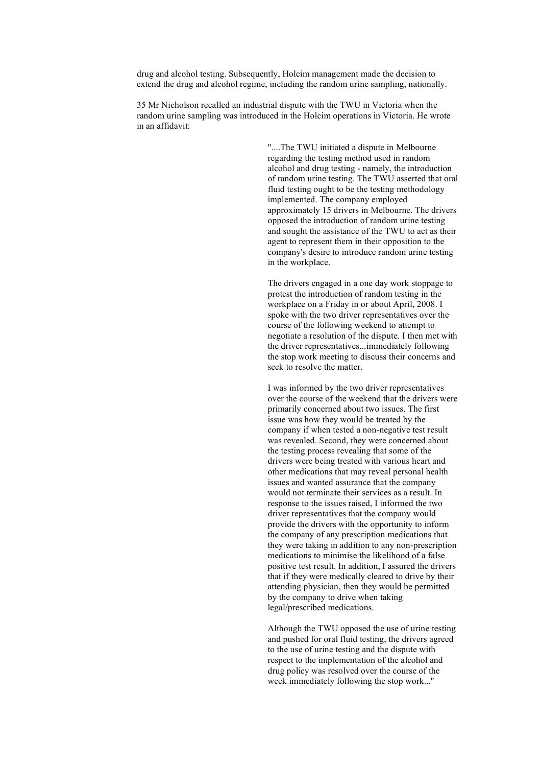drug and alcohol testing. Subsequently, Holcim management made the decision to extend the drug and alcohol regime, including the random urine sampling, nationally.

35 Mr Nicholson recalled an industrial dispute with the TWU in Victoria when the random urine sampling was introduced in the Holcim operations in Victoria. He wrote in an affidavit:

> "....The TWU initiated a dispute in Melbourne regarding the testing method used in random alcohol and drug testing - namely, the introduction of random urine testing. The TWU asserted that oral fluid testing ought to be the testing methodology implemented. The company employed approximately 15 drivers in Melbourne. The drivers opposed the introduction of random urine testing and sought the assistance of the TWU to act as their agent to represent them in their opposition to the company's desire to introduce random urine testing in the workplace.

The drivers engaged in a one day work stoppage to protest the introduction of random testing in the workplace on a Friday in or about April, 2008. I spoke with the two driver representatives over the course of the following weekend to attempt to negotiate a resolution of the dispute. I then met with the driver representatives...immediately following the stop work meeting to discuss their concerns and seek to resolve the matter.

I was informed by the two driver representatives over the course of the weekend that the drivers were primarily concerned about two issues. The first issue was how they would be treated by the company if when tested a non-negative test result was revealed. Second, they were concerned about the testing process revealing that some of the drivers were being treated with various heart and other medications that may reveal personal health issues and wanted assurance that the company would not terminate their services as a result. In response to the issues raised, I informed the two driver representatives that the company would provide the drivers with the opportunity to inform the company of any prescription medications that they were taking in addition to any non-prescription medications to minimise the likelihood of a false positive test result. In addition, I assured the drivers that if they were medically cleared to drive by their attending physician, then they would be permitted by the company to drive when taking legal/prescribed medications.

Although the TWU opposed the use of urine testing and pushed for oral fluid testing, the drivers agreed to the use of urine testing and the dispute with respect to the implementation of the alcohol and drug policy was resolved over the course of the week immediately following the stop work..."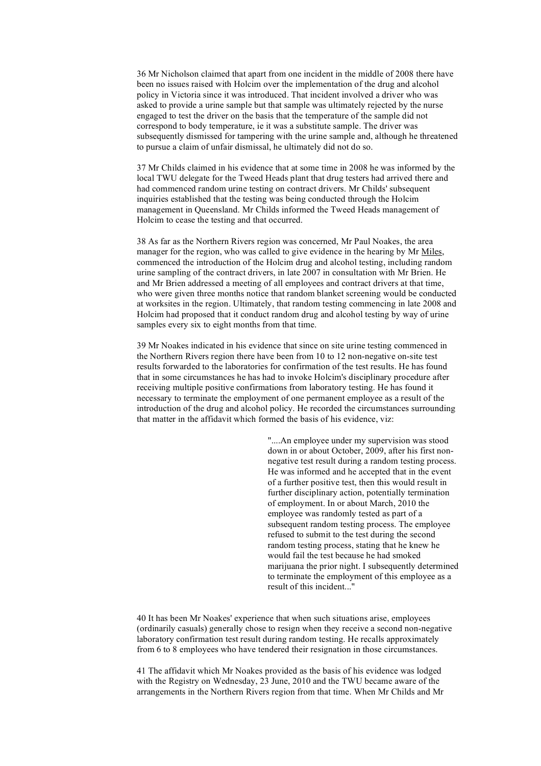36 Mr Nicholson claimed that apart from one incident in the middle of 2008 there have been no issues raised with Holcim over the implementation of the drug and alcohol policy in Victoria since it was introduced. That incident involved a driver who was asked to provide a urine sample but that sample was ultimately rejected by the nurse engaged to test the driver on the basis that the temperature of the sample did not correspond to body temperature, ie it was a substitute sample. The driver was subsequently dismissed for tampering with the urine sample and, although he threatened to pursue a claim of unfair dismissal, he ultimately did not do so.

37 Mr Childs claimed in his evidence that at some time in 2008 he was informed by the local TWU delegate for the Tweed Heads plant that drug testers had arrived there and had commenced random urine testing on contract drivers. Mr Childs' subsequent inquiries established that the testing was being conducted through the Holcim management in Queensland. Mr Childs informed the Tweed Heads management of Holcim to cease the testing and that occurred.

38 As far as the Northern Rivers region was concerned, Mr Paul Noakes, the area manager for the region, who was called to give evidence in the hearing by Mr Miles, commenced the introduction of the Holcim drug and alcohol testing, including random urine sampling of the contract drivers, in late 2007 in consultation with Mr Brien. He and Mr Brien addressed a meeting of all employees and contract drivers at that time, who were given three months notice that random blanket screening would be conducted at worksites in the region. Ultimately, that random testing commencing in late 2008 and Holcim had proposed that it conduct random drug and alcohol testing by way of urine samples every six to eight months from that time.

39 Mr Noakes indicated in his evidence that since on site urine testing commenced in the Northern Rivers region there have been from 10 to 12 non-negative on-site test results forwarded to the laboratories for confirmation of the test results. He has found that in some circumstances he has had to invoke Holcim's disciplinary procedure after receiving multiple positive confirmations from laboratory testing. He has found it necessary to terminate the employment of one permanent employee as a result of the introduction of the drug and alcohol policy. He recorded the circumstances surrounding that matter in the affidavit which formed the basis of his evidence, viz:

> "....An employee under my supervision was stood down in or about October, 2009, after his first nonnegative test result during a random testing process. He was informed and he accepted that in the event of a further positive test, then this would result in further disciplinary action, potentially termination of employment. In or about March, 2010 the employee was randomly tested as part of a subsequent random testing process. The employee refused to submit to the test during the second random testing process, stating that he knew he would fail the test because he had smoked marijuana the prior night. I subsequently determined to terminate the employment of this employee as a result of this incident..."

40 It has been Mr Noakes' experience that when such situations arise, employees (ordinarily casuals) generally chose to resign when they receive a second non-negative laboratory confirmation test result during random testing. He recalls approximately from 6 to 8 employees who have tendered their resignation in those circumstances.

41 The affidavit which Mr Noakes provided as the basis of his evidence was lodged with the Registry on Wednesday, 23 June, 2010 and the TWU became aware of the arrangements in the Northern Rivers region from that time. When Mr Childs and Mr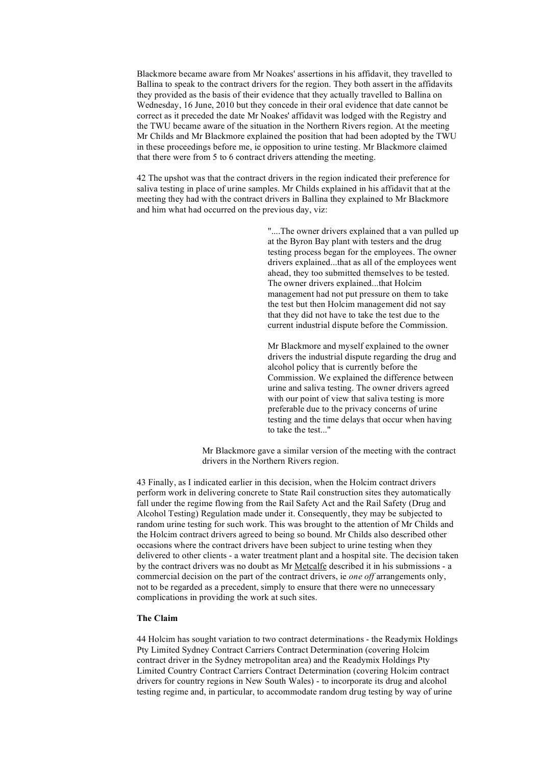Blackmore became aware from Mr Noakes' assertions in his affidavit, they travelled to Ballina to speak to the contract drivers for the region. They both assert in the affidavits they provided as the basis of their evidence that they actually travelled to Ballina on Wednesday, 16 June, 2010 but they concede in their oral evidence that date cannot be correct as it preceded the date Mr Noakes' affidavit was lodged with the Registry and the TWU became aware of the situation in the Northern Rivers region. At the meeting Mr Childs and Mr Blackmore explained the position that had been adopted by the TWU in these proceedings before me, ie opposition to urine testing. Mr Blackmore claimed that there were from 5 to 6 contract drivers attending the meeting.

42 The upshot was that the contract drivers in the region indicated their preference for saliva testing in place of urine samples. Mr Childs explained in his affidavit that at the meeting they had with the contract drivers in Ballina they explained to Mr Blackmore and him what had occurred on the previous day, viz:

> "....The owner drivers explained that a van pulled up at the Byron Bay plant with testers and the drug testing process began for the employees. The owner drivers explained...that as all of the employees went ahead, they too submitted themselves to be tested. The owner drivers explained...that Holcim management had not put pressure on them to take the test but then Holcim management did not say that they did not have to take the test due to the current industrial dispute before the Commission.

Mr Blackmore and myself explained to the owner drivers the industrial dispute regarding the drug and alcohol policy that is currently before the Commission. We explained the difference between urine and saliva testing. The owner drivers agreed with our point of view that saliva testing is more preferable due to the privacy concerns of urine testing and the time delays that occur when having to take the test..."

Mr Blackmore gave a similar version of the meeting with the contract drivers in the Northern Rivers region.

43 Finally, as I indicated earlier in this decision, when the Holcim contract drivers perform work in delivering concrete to State Rail construction sites they automatically fall under the regime flowing from the Rail Safety Act and the Rail Safety (Drug and Alcohol Testing) Regulation made under it. Consequently, they may be subjected to random urine testing for such work. This was brought to the attention of Mr Childs and the Holcim contract drivers agreed to being so bound. Mr Childs also described other occasions where the contract drivers have been subject to urine testing when they delivered to other clients - a water treatment plant and a hospital site. The decision taken by the contract drivers was no doubt as Mr Metcalfe described it in his submissions - a commercial decision on the part of the contract drivers, ie *one off* arrangements only, not to be regarded as a precedent, simply to ensure that there were no unnecessary complications in providing the work at such sites.

# **The Claim**

44 Holcim has sought variation to two contract determinations - the Readymix Holdings Pty Limited Sydney Contract Carriers Contract Determination (covering Holcim contract driver in the Sydney metropolitan area) and the Readymix Holdings Pty Limited Country Contract Carriers Contract Determination (covering Holcim contract drivers for country regions in New South Wales) - to incorporate its drug and alcohol testing regime and, in particular, to accommodate random drug testing by way of urine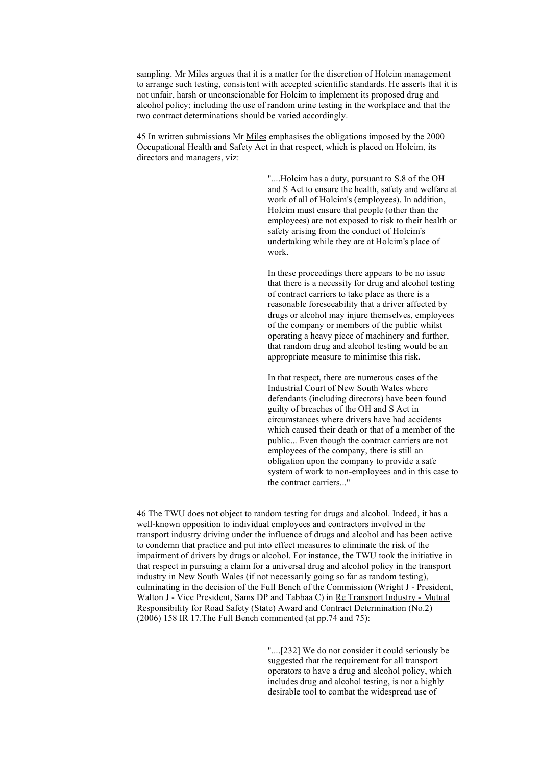sampling. Mr Miles argues that it is a matter for the discretion of Holcim management to arrange such testing, consistent with accepted scientific standards. He asserts that it is not unfair, harsh or unconscionable for Holcim to implement its proposed drug and alcohol policy; including the use of random urine testing in the workplace and that the two contract determinations should be varied accordingly.

45 In written submissions Mr Miles emphasises the obligations imposed by the 2000 Occupational Health and Safety Act in that respect, which is placed on Holcim, its directors and managers, viz:

> "....Holcim has a duty, pursuant to S.8 of the OH and S Act to ensure the health, safety and welfare at work of all of Holcim's (employees). In addition, Holcim must ensure that people (other than the employees) are not exposed to risk to their health or safety arising from the conduct of Holcim's undertaking while they are at Holcim's place of work.

In these proceedings there appears to be no issue that there is a necessity for drug and alcohol testing of contract carriers to take place as there is a reasonable foreseeability that a driver affected by drugs or alcohol may injure themselves, employees of the company or members of the public whilst operating a heavy piece of machinery and further, that random drug and alcohol testing would be an appropriate measure to minimise this risk.

In that respect, there are numerous cases of the Industrial Court of New South Wales where defendants (including directors) have been found guilty of breaches of the OH and S Act in circumstances where drivers have had accidents which caused their death or that of a member of the public... Even though the contract carriers are not employees of the company, there is still an obligation upon the company to provide a safe system of work to non-employees and in this case to the contract carriers..."

46 The TWU does not object to random testing for drugs and alcohol. Indeed, it has a well-known opposition to individual employees and contractors involved in the transport industry driving under the influence of drugs and alcohol and has been active to condemn that practice and put into effect measures to eliminate the risk of the impairment of drivers by drugs or alcohol. For instance, the TWU took the initiative in that respect in pursuing a claim for a universal drug and alcohol policy in the transport industry in New South Wales (if not necessarily going so far as random testing), culminating in the decision of the Full Bench of the Commission (Wright J - President, Walton J - Vice President, Sams DP and Tabbaa C) in Re Transport Industry - Mutual Responsibility for Road Safety (State) Award and Contract Determination (No.2) (2006) 158 IR 17.The Full Bench commented (at pp.74 and 75):

> "....[232] We do not consider it could seriously be suggested that the requirement for all transport operators to have a drug and alcohol policy, which includes drug and alcohol testing, is not a highly desirable tool to combat the widespread use of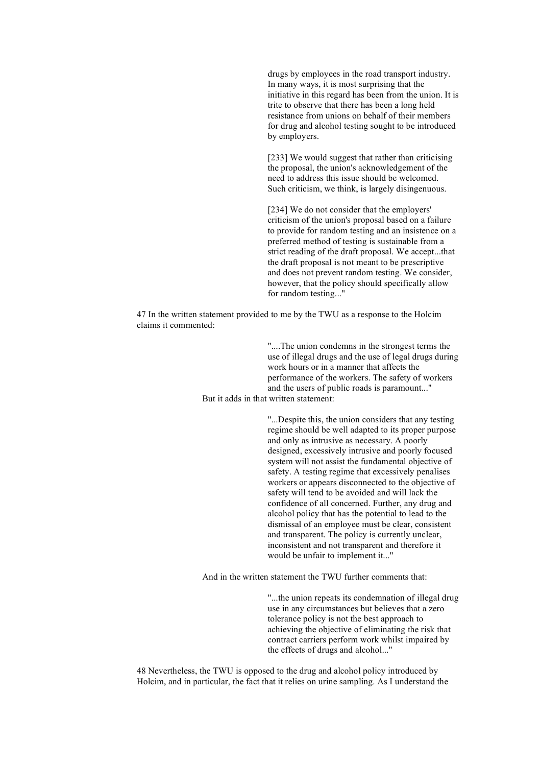drugs by employees in the road transport industry. In many ways, it is most surprising that the initiative in this regard has been from the union. It is trite to observe that there has been a long held resistance from unions on behalf of their members for drug and alcohol testing sought to be introduced by employers.

[233] We would suggest that rather than criticising the proposal, the union's acknowledgement of the need to address this issue should be welcomed. Such criticism, we think, is largely disingenuous.

[234] We do not consider that the employers' criticism of the union's proposal based on a failure to provide for random testing and an insistence on a preferred method of testing is sustainable from a strict reading of the draft proposal. We accept...that the draft proposal is not meant to be prescriptive and does not prevent random testing. We consider, however, that the policy should specifically allow for random testing..."

47 In the written statement provided to me by the TWU as a response to the Holcim claims it commented:

> "....The union condemns in the strongest terms the use of illegal drugs and the use of legal drugs during work hours or in a manner that affects the performance of the workers. The safety of workers and the users of public roads is paramount..."

But it adds in that written statement:

"...Despite this, the union considers that any testing regime should be well adapted to its proper purpose and only as intrusive as necessary. A poorly designed, excessively intrusive and poorly focused system will not assist the fundamental objective of safety. A testing regime that excessively penalises workers or appears disconnected to the objective of safety will tend to be avoided and will lack the confidence of all concerned. Further, any drug and alcohol policy that has the potential to lead to the dismissal of an employee must be clear, consistent and transparent. The policy is currently unclear, inconsistent and not transparent and therefore it would be unfair to implement it..."

And in the written statement the TWU further comments that:

"...the union repeats its condemnation of illegal drug use in any circumstances but believes that a zero tolerance policy is not the best approach to achieving the objective of eliminating the risk that contract carriers perform work whilst impaired by the effects of drugs and alcohol..."

48 Nevertheless, the TWU is opposed to the drug and alcohol policy introduced by Holcim, and in particular, the fact that it relies on urine sampling. As I understand the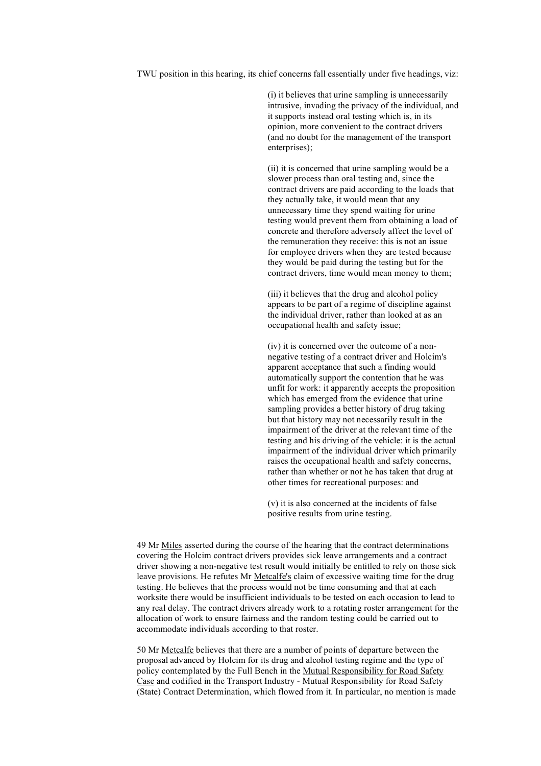TWU position in this hearing, its chief concerns fall essentially under five headings, viz:

(i) it believes that urine sampling is unnecessarily intrusive, invading the privacy of the individual, and it supports instead oral testing which is, in its opinion, more convenient to the contract drivers (and no doubt for the management of the transport enterprises);

(ii) it is concerned that urine sampling would be a slower process than oral testing and, since the contract drivers are paid according to the loads that they actually take, it would mean that any unnecessary time they spend waiting for urine testing would prevent them from obtaining a load of concrete and therefore adversely affect the level of the remuneration they receive: this is not an issue for employee drivers when they are tested because they would be paid during the testing but for the contract drivers, time would mean money to them;

(iii) it believes that the drug and alcohol policy appears to be part of a regime of discipline against the individual driver, rather than looked at as an occupational health and safety issue;

(iv) it is concerned over the outcome of a nonnegative testing of a contract driver and Holcim's apparent acceptance that such a finding would automatically support the contention that he was unfit for work: it apparently accepts the proposition which has emerged from the evidence that urine sampling provides a better history of drug taking but that history may not necessarily result in the impairment of the driver at the relevant time of the testing and his driving of the vehicle: it is the actual impairment of the individual driver which primarily raises the occupational health and safety concerns, rather than whether or not he has taken that drug at other times for recreational purposes: and

(v) it is also concerned at the incidents of false positive results from urine testing.

49 Mr Miles asserted during the course of the hearing that the contract determinations covering the Holcim contract drivers provides sick leave arrangements and a contract driver showing a non-negative test result would initially be entitled to rely on those sick leave provisions. He refutes Mr Metcalfe's claim of excessive waiting time for the drug testing. He believes that the process would not be time consuming and that at each worksite there would be insufficient individuals to be tested on each occasion to lead to any real delay. The contract drivers already work to a rotating roster arrangement for the allocation of work to ensure fairness and the random testing could be carried out to accommodate individuals according to that roster.

50 Mr Metcalfe believes that there are a number of points of departure between the proposal advanced by Holcim for its drug and alcohol testing regime and the type of policy contemplated by the Full Bench in the Mutual Responsibility for Road Safety Case and codified in the Transport Industry - Mutual Responsibility for Road Safety (State) Contract Determination, which flowed from it. In particular, no mention is made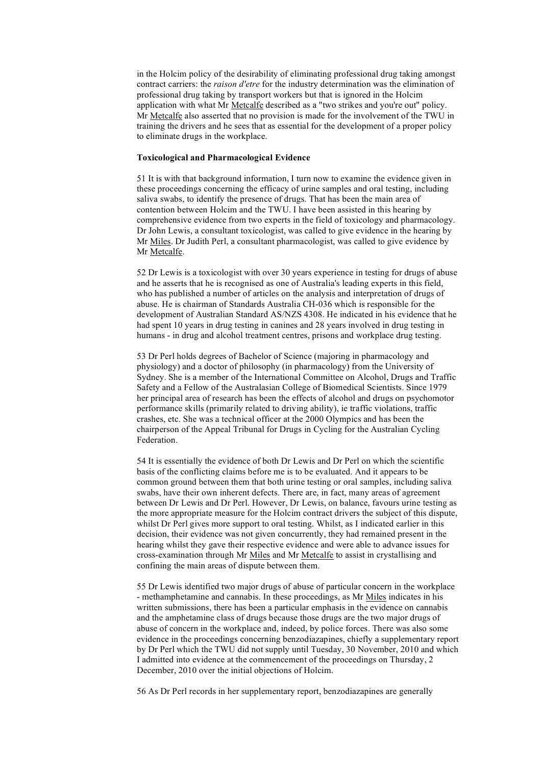in the Holcim policy of the desirability of eliminating professional drug taking amongst contract carriers: the *raison d'etre* for the industry determination was the elimination of professional drug taking by transport workers but that is ignored in the Holcim application with what Mr Metcalfe described as a "two strikes and you're out" policy. Mr Metcalfe also asserted that no provision is made for the involvement of the TWU in training the drivers and he sees that as essential for the development of a proper policy to eliminate drugs in the workplace.

# **Toxicological and Pharmacological Evidence**

51 It is with that background information, I turn now to examine the evidence given in these proceedings concerning the efficacy of urine samples and oral testing, including saliva swabs, to identify the presence of drugs. That has been the main area of contention between Holcim and the TWU. I have been assisted in this hearing by comprehensive evidence from two experts in the field of toxicology and pharmacology. Dr John Lewis, a consultant toxicologist, was called to give evidence in the hearing by Mr Miles. Dr Judith Perl, a consultant pharmacologist, was called to give evidence by Mr Metcalfe.

52 Dr Lewis is a toxicologist with over 30 years experience in testing for drugs of abuse and he asserts that he is recognised as one of Australia's leading experts in this field, who has published a number of articles on the analysis and interpretation of drugs of abuse. He is chairman of Standards Australia CH-036 which is responsible for the development of Australian Standard AS/NZS 4308. He indicated in his evidence that he had spent 10 years in drug testing in canines and 28 years involved in drug testing in humans - in drug and alcohol treatment centres, prisons and workplace drug testing.

53 Dr Perl holds degrees of Bachelor of Science (majoring in pharmacology and physiology) and a doctor of philosophy (in pharmacology) from the University of Sydney. She is a member of the International Committee on Alcohol, Drugs and Traffic Safety and a Fellow of the Australasian College of Biomedical Scientists. Since 1979 her principal area of research has been the effects of alcohol and drugs on psychomotor performance skills (primarily related to driving ability), ie traffic violations, traffic crashes, etc. She was a technical officer at the 2000 Olympics and has been the chairperson of the Appeal Tribunal for Drugs in Cycling for the Australian Cycling Federation.

54 It is essentially the evidence of both Dr Lewis and Dr Perl on which the scientific basis of the conflicting claims before me is to be evaluated. And it appears to be common ground between them that both urine testing or oral samples, including saliva swabs, have their own inherent defects. There are, in fact, many areas of agreement between Dr Lewis and Dr Perl. However, Dr Lewis, on balance, favours urine testing as the more appropriate measure for the Holcim contract drivers the subject of this dispute, whilst Dr Perl gives more support to oral testing. Whilst, as I indicated earlier in this decision, their evidence was not given concurrently, they had remained present in the hearing whilst they gave their respective evidence and were able to advance issues for cross-examination through Mr Miles and Mr Metcalfe to assist in crystallising and confining the main areas of dispute between them.

55 Dr Lewis identified two major drugs of abuse of particular concern in the workplace - methamphetamine and cannabis. In these proceedings, as Mr Miles indicates in his written submissions, there has been a particular emphasis in the evidence on cannabis and the amphetamine class of drugs because those drugs are the two major drugs of abuse of concern in the workplace and, indeed, by police forces. There was also some evidence in the proceedings concerning benzodiazapines, chiefly a supplementary report by Dr Perl which the TWU did not supply until Tuesday, 30 November, 2010 and which I admitted into evidence at the commencement of the proceedings on Thursday, 2 December, 2010 over the initial objections of Holcim.

56 As Dr Perl records in her supplementary report, benzodiazapines are generally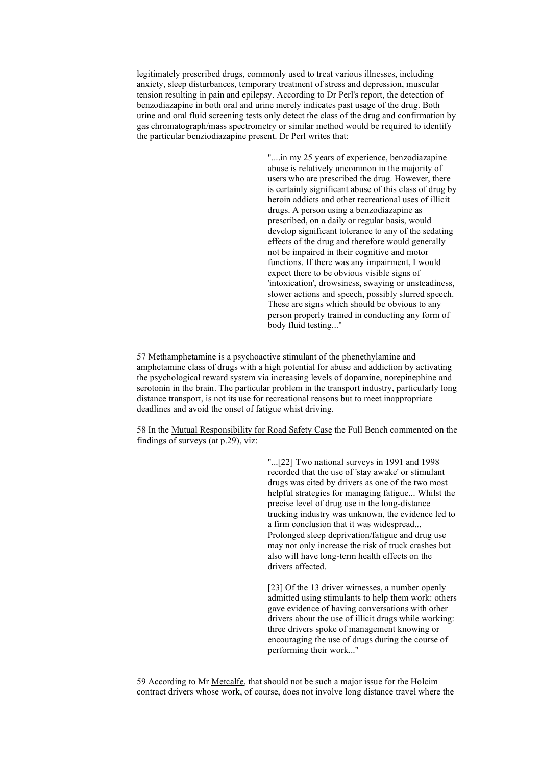legitimately prescribed drugs, commonly used to treat various illnesses, including anxiety, sleep disturbances, temporary treatment of stress and depression, muscular tension resulting in pain and epilepsy. According to Dr Perl's report, the detection of benzodiazapine in both oral and urine merely indicates past usage of the drug. Both urine and oral fluid screening tests only detect the class of the drug and confirmation by gas chromatograph/mass spectrometry or similar method would be required to identify the particular benziodiazapine present. Dr Perl writes that:

> "....in my 25 years of experience, benzodiazapine abuse is relatively uncommon in the majority of users who are prescribed the drug. However, there is certainly significant abuse of this class of drug by heroin addicts and other recreational uses of illicit drugs. A person using a benzodiazapine as prescribed, on a daily or regular basis, would develop significant tolerance to any of the sedating effects of the drug and therefore would generally not be impaired in their cognitive and motor functions. If there was any impairment, I would expect there to be obvious visible signs of 'intoxication', drowsiness, swaying or unsteadiness, slower actions and speech, possibly slurred speech. These are signs which should be obvious to any person properly trained in conducting any form of body fluid testing..."

57 Methamphetamine is a psychoactive stimulant of the phenethylamine and amphetamine class of drugs with a high potential for abuse and addiction by activating the psychological reward system via increasing levels of dopamine, norepinephine and serotonin in the brain. The particular problem in the transport industry, particularly long distance transport, is not its use for recreational reasons but to meet inappropriate deadlines and avoid the onset of fatigue whist driving.

58 In the Mutual Responsibility for Road Safety Case the Full Bench commented on the findings of surveys (at p.29), viz:

> "...[22] Two national surveys in 1991 and 1998 recorded that the use of 'stay awake' or stimulant drugs was cited by drivers as one of the two most helpful strategies for managing fatigue... Whilst the precise level of drug use in the long-distance trucking industry was unknown, the evidence led to a firm conclusion that it was widespread... Prolonged sleep deprivation/fatigue and drug use may not only increase the risk of truck crashes but also will have long-term health effects on the drivers affected.

> [23] Of the 13 driver witnesses, a number openly admitted using stimulants to help them work: others gave evidence of having conversations with other drivers about the use of illicit drugs while working: three drivers spoke of management knowing or encouraging the use of drugs during the course of performing their work..."

59 According to Mr Metcalfe, that should not be such a major issue for the Holcim contract drivers whose work, of course, does not involve long distance travel where the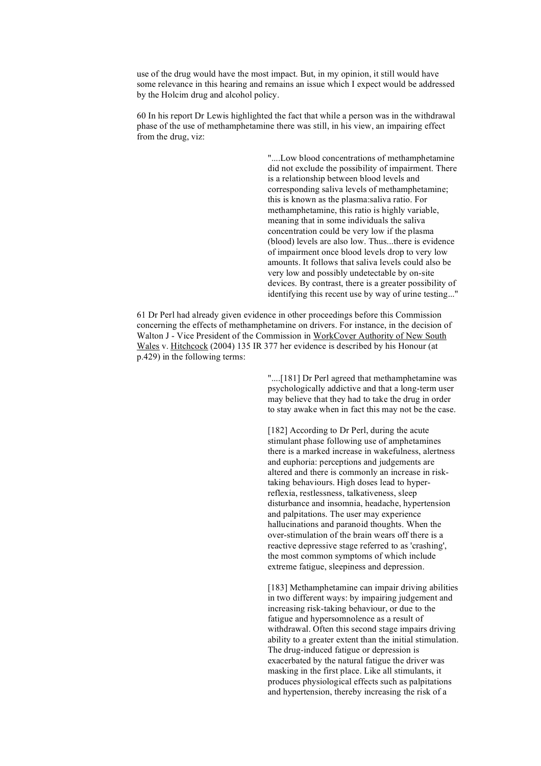use of the drug would have the most impact. But, in my opinion, it still would have some relevance in this hearing and remains an issue which I expect would be addressed by the Holcim drug and alcohol policy.

60 In his report Dr Lewis highlighted the fact that while a person was in the withdrawal phase of the use of methamphetamine there was still, in his view, an impairing effect from the drug, viz:

> "....Low blood concentrations of methamphetamine did not exclude the possibility of impairment. There is a relationship between blood levels and corresponding saliva levels of methamphetamine; this is known as the plasma:saliva ratio. For methamphetamine, this ratio is highly variable, meaning that in some individuals the saliva concentration could be very low if the plasma (blood) levels are also low. Thus...there is evidence of impairment once blood levels drop to very low amounts. It follows that saliva levels could also be very low and possibly undetectable by on-site devices. By contrast, there is a greater possibility of identifying this recent use by way of urine testing..."

61 Dr Perl had already given evidence in other proceedings before this Commission concerning the effects of methamphetamine on drivers. For instance, in the decision of Walton J - Vice President of the Commission in WorkCover Authority of New South Wales v. Hitchcock (2004) 135 IR 377 her evidence is described by his Honour (at p.429) in the following terms:

> "....[181] Dr Perl agreed that methamphetamine was psychologically addictive and that a long-term user may believe that they had to take the drug in order to stay awake when in fact this may not be the case.

[182] According to Dr Perl, during the acute stimulant phase following use of amphetamines there is a marked increase in wakefulness, alertness and euphoria: perceptions and judgements are altered and there is commonly an increase in risktaking behaviours. High doses lead to hyperreflexia, restlessness, talkativeness, sleep disturbance and insomnia, headache, hypertension and palpitations. The user may experience hallucinations and paranoid thoughts. When the over-stimulation of the brain wears off there is a reactive depressive stage referred to as 'crashing', the most common symptoms of which include extreme fatigue, sleepiness and depression.

[183] Methamphetamine can impair driving abilities in two different ways: by impairing judgement and increasing risk-taking behaviour, or due to the fatigue and hypersomnolence as a result of withdrawal. Often this second stage impairs driving ability to a greater extent than the initial stimulation. The drug-induced fatigue or depression is exacerbated by the natural fatigue the driver was masking in the first place. Like all stimulants, it produces physiological effects such as palpitations and hypertension, thereby increasing the risk of a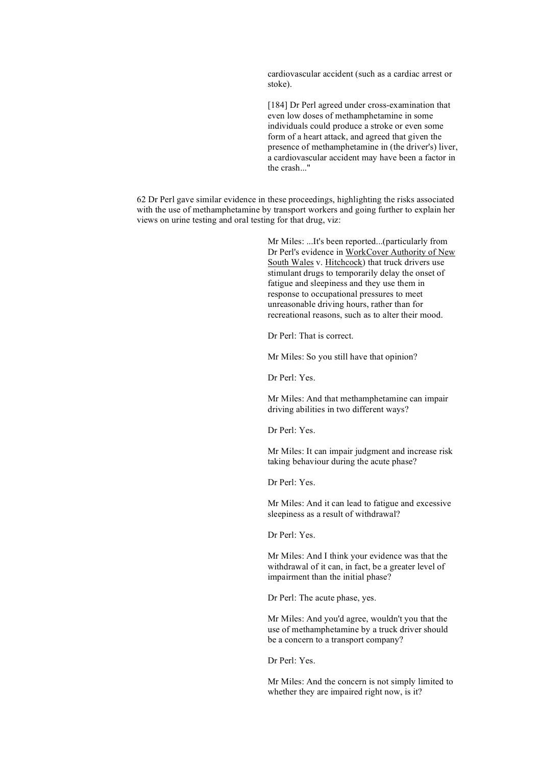cardiovascular accident (such as a cardiac arrest or stoke).

[184] Dr Perl agreed under cross-examination that even low doses of methamphetamine in some individuals could produce a stroke or even some form of a heart attack, and agreed that given the presence of methamphetamine in (the driver's) liver, a cardiovascular accident may have been a factor in the crash..."

62 Dr Perl gave similar evidence in these proceedings, highlighting the risks associated with the use of methamphetamine by transport workers and going further to explain her views on urine testing and oral testing for that drug, viz:

> Mr Miles: ...It's been reported...(particularly from Dr Perl's evidence in WorkCover Authority of New South Wales v. Hitchcock) that truck drivers use stimulant drugs to temporarily delay the onset of fatigue and sleepiness and they use them in response to occupational pressures to meet unreasonable driving hours, rather than for recreational reasons, such as to alter their mood.

Dr Perl: That is correct.

Mr Miles: So you still have that opinion?

Dr Perl: Yes.

Mr Miles: And that methamphetamine can impair driving abilities in two different ways?

Dr Perl: Yes.

Mr Miles: It can impair judgment and increase risk taking behaviour during the acute phase?

Dr Perl: Yes.

Mr Miles: And it can lead to fatigue and excessive sleepiness as a result of withdrawal?

Dr Perl: Yes.

Mr Miles: And I think your evidence was that the withdrawal of it can, in fact, be a greater level of impairment than the initial phase?

Dr Perl: The acute phase, yes.

Mr Miles: And you'd agree, wouldn't you that the use of methamphetamine by a truck driver should be a concern to a transport company?

Dr Perl: Yes.

Mr Miles: And the concern is not simply limited to whether they are impaired right now, is it?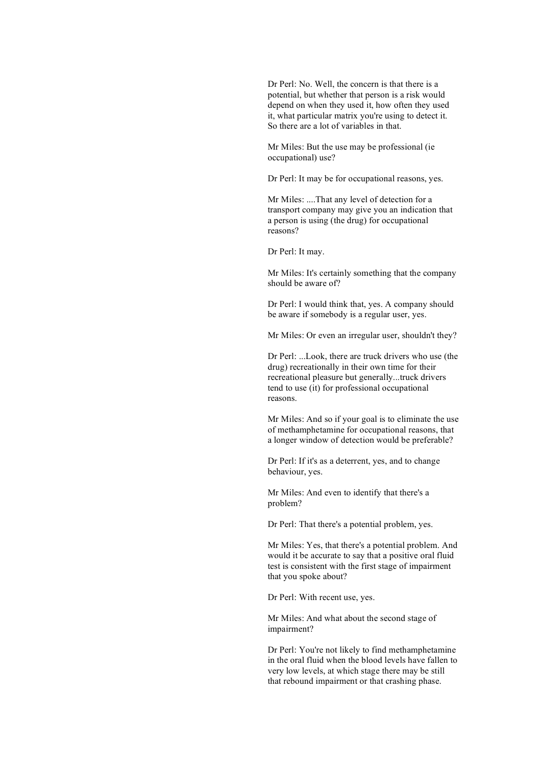Dr Perl: No. Well, the concern is that there is a potential, but whether that person is a risk would depend on when they used it, how often they used it, what particular matrix you're using to detect it. So there are a lot of variables in that.

Mr Miles: But the use may be professional (ie occupational) use?

Dr Perl: It may be for occupational reasons, yes.

Mr Miles: ....That any level of detection for a transport company may give you an indication that a person is using (the drug) for occupational reasons?

Dr Perl: It may.

Mr Miles: It's certainly something that the company should be aware of?

Dr Perl: I would think that, yes. A company should be aware if somebody is a regular user, yes.

Mr Miles: Or even an irregular user, shouldn't they?

Dr Perl: ...Look, there are truck drivers who use (the drug) recreationally in their own time for their recreational pleasure but generally...truck drivers tend to use (it) for professional occupational reasons.

Mr Miles: And so if your goal is to eliminate the use of methamphetamine for occupational reasons, that a longer window of detection would be preferable?

Dr Perl: If it's as a deterrent, yes, and to change behaviour, yes.

Mr Miles: And even to identify that there's a problem?

Dr Perl: That there's a potential problem, yes.

Mr Miles: Yes, that there's a potential problem. And would it be accurate to say that a positive oral fluid test is consistent with the first stage of impairment that you spoke about?

Dr Perl: With recent use, yes.

Mr Miles: And what about the second stage of impairment?

Dr Perl: You're not likely to find methamphetamine in the oral fluid when the blood levels have fallen to very low levels, at which stage there may be still that rebound impairment or that crashing phase.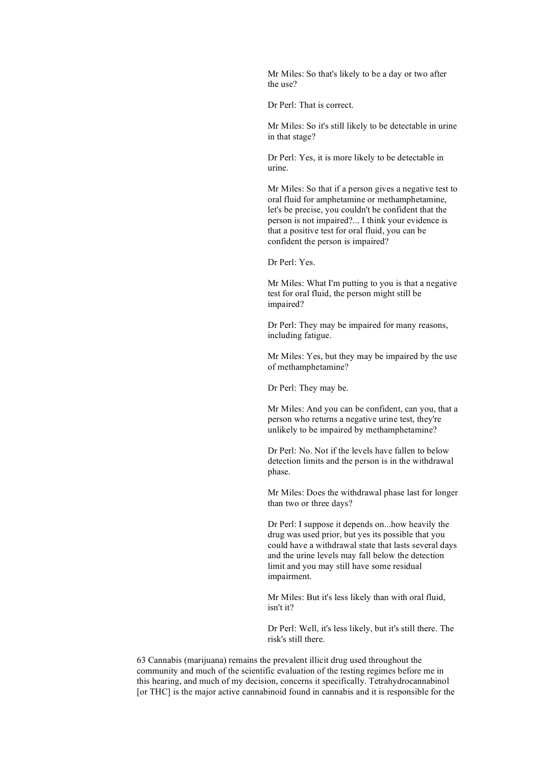Mr Miles: So that's likely to be a day or two after the use?

Dr Perl: That is correct.

Mr Miles: So it's still likely to be detectable in urine in that stage?

Dr Perl: Yes, it is more likely to be detectable in urine.

Mr Miles: So that if a person gives a negative test to oral fluid for amphetamine or methamphetamine, let's be precise, you couldn't be confident that the person is not impaired?... I think your evidence is that a positive test for oral fluid, you can be confident the person is impaired?

Dr Perl: Yes.

Mr Miles: What I'm putting to you is that a negative test for oral fluid, the person might still be impaired?

Dr Perl: They may be impaired for many reasons, including fatigue.

Mr Miles: Yes, but they may be impaired by the use of methamphetamine?

Dr Perl: They may be.

Mr Miles: And you can be confident, can you, that a person who returns a negative urine test, they're unlikely to be impaired by methamphetamine?

Dr Perl: No. Not if the levels have fallen to below detection limits and the person is in the withdrawal phase.

Mr Miles: Does the withdrawal phase last for longer than two or three days?

Dr Perl: I suppose it depends on...how heavily the drug was used prior, but yes its possible that you could have a withdrawal state that lasts several days and the urine levels may fall below the detection limit and you may still have some residual impairment.

Mr Miles: But it's less likely than with oral fluid, isn't it?

Dr Perl: Well, it's less likely, but it's still there. The risk's still there.

63 Cannabis (marijuana) remains the prevalent illicit drug used throughout the community and much of the scientific evaluation of the testing regimes before me in this hearing, and much of my decision, concerns it specifically. Tetrahydrocannabinol [or THC] is the major active cannabinoid found in cannabis and it is responsible for the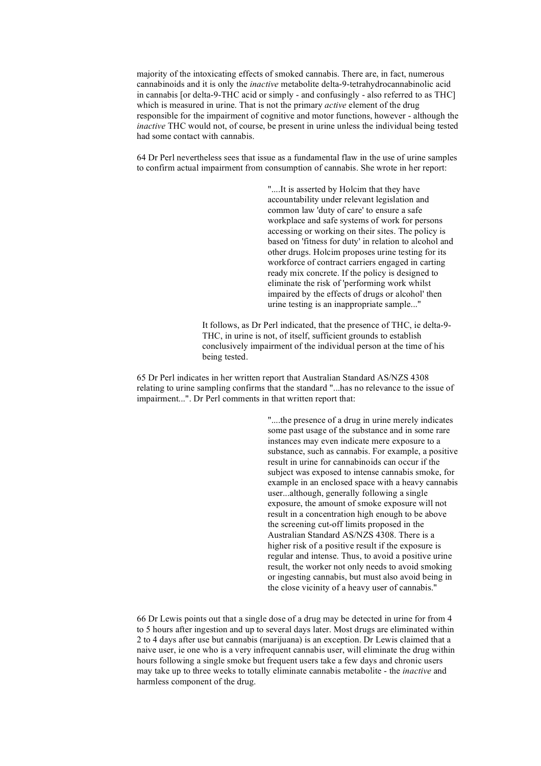majority of the intoxicating effects of smoked cannabis. There are, in fact, numerous cannabinoids and it is only the *inactive* metabolite delta-9-tetrahydrocannabinolic acid in cannabis [or delta-9-THC acid or simply - and confusingly - also referred to as THC] which is measured in urine. That is not the primary *active* element of the drug responsible for the impairment of cognitive and motor functions, however - although the *inactive* THC would not, of course, be present in urine unless the individual being tested had some contact with cannabis.

64 Dr Perl nevertheless sees that issue as a fundamental flaw in the use of urine samples to confirm actual impairment from consumption of cannabis. She wrote in her report:

> "....It is asserted by Holcim that they have accountability under relevant legislation and common law 'duty of care' to ensure a safe workplace and safe systems of work for persons accessing or working on their sites. The policy is based on 'fitness for duty' in relation to alcohol and other drugs. Holcim proposes urine testing for its workforce of contract carriers engaged in carting ready mix concrete. If the policy is designed to eliminate the risk of 'performing work whilst impaired by the effects of drugs or alcohol' then urine testing is an inappropriate sample..."

It follows, as Dr Perl indicated, that the presence of THC, ie delta-9- THC, in urine is not, of itself, sufficient grounds to establish conclusively impairment of the individual person at the time of his being tested.

65 Dr Perl indicates in her written report that Australian Standard AS/NZS 4308 relating to urine sampling confirms that the standard "...has no relevance to the issue of impairment...". Dr Perl comments in that written report that:

> "....the presence of a drug in urine merely indicates some past usage of the substance and in some rare instances may even indicate mere exposure to a substance, such as cannabis. For example, a positive result in urine for cannabinoids can occur if the subject was exposed to intense cannabis smoke, for example in an enclosed space with a heavy cannabis user...although, generally following a single exposure, the amount of smoke exposure will not result in a concentration high enough to be above the screening cut-off limits proposed in the Australian Standard AS/NZS 4308. There is a higher risk of a positive result if the exposure is regular and intense. Thus, to avoid a positive urine result, the worker not only needs to avoid smoking or ingesting cannabis, but must also avoid being in the close vicinity of a heavy user of cannabis."

66 Dr Lewis points out that a single dose of a drug may be detected in urine for from 4 to 5 hours after ingestion and up to several days later. Most drugs are eliminated within 2 to 4 days after use but cannabis (marijuana) is an exception. Dr Lewis claimed that a naive user, ie one who is a very infrequent cannabis user, will eliminate the drug within hours following a single smoke but frequent users take a few days and chronic users may take up to three weeks to totally eliminate cannabis metabolite - the *inactive* and harmless component of the drug.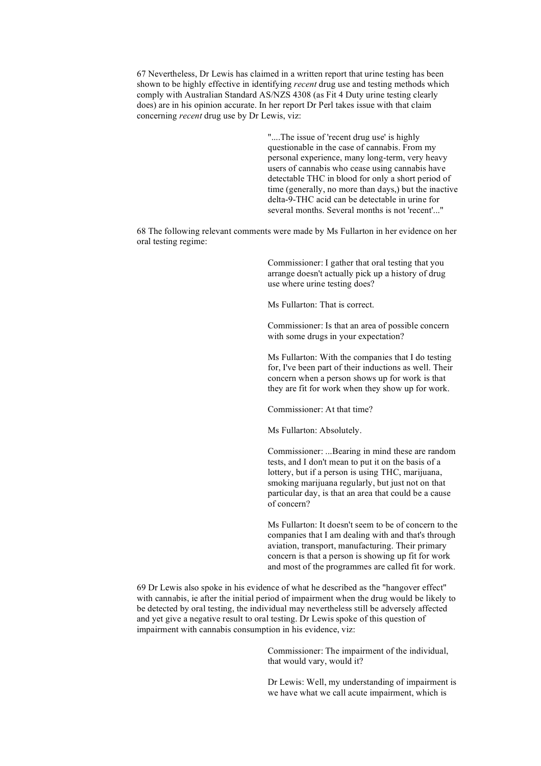67 Nevertheless, Dr Lewis has claimed in a written report that urine testing has been shown to be highly effective in identifying *recent* drug use and testing methods which comply with Australian Standard AS/NZS 4308 (as Fit 4 Duty urine testing clearly does) are in his opinion accurate. In her report Dr Perl takes issue with that claim concerning *recent* drug use by Dr Lewis, viz:

> "....The issue of 'recent drug use' is highly questionable in the case of cannabis. From my personal experience, many long-term, very heavy users of cannabis who cease using cannabis have detectable THC in blood for only a short period of time (generally, no more than days,) but the inactive delta-9-THC acid can be detectable in urine for several months. Several months is not 'recent'..."

68 The following relevant comments were made by Ms Fullarton in her evidence on her oral testing regime:

> Commissioner: I gather that oral testing that you arrange doesn't actually pick up a history of drug use where urine testing does?

Ms Fullarton: That is correct.

Commissioner: Is that an area of possible concern with some drugs in your expectation?

Ms Fullarton: With the companies that I do testing for, I've been part of their inductions as well. Their concern when a person shows up for work is that they are fit for work when they show up for work.

Commissioner: At that time?

Ms Fullarton: Absolutely.

Commissioner: ...Bearing in mind these are random tests, and I don't mean to put it on the basis of a lottery, but if a person is using THC, marijuana, smoking marijuana regularly, but just not on that particular day, is that an area that could be a cause of concern?

Ms Fullarton: It doesn't seem to be of concern to the companies that I am dealing with and that's through aviation, transport, manufacturing. Their primary concern is that a person is showing up fit for work and most of the programmes are called fit for work.

69 Dr Lewis also spoke in his evidence of what he described as the "hangover effect" with cannabis, ie after the initial period of impairment when the drug would be likely to be detected by oral testing, the individual may nevertheless still be adversely affected and yet give a negative result to oral testing. Dr Lewis spoke of this question of impairment with cannabis consumption in his evidence, viz:

> Commissioner: The impairment of the individual, that would vary, would it?

Dr Lewis: Well, my understanding of impairment is we have what we call acute impairment, which is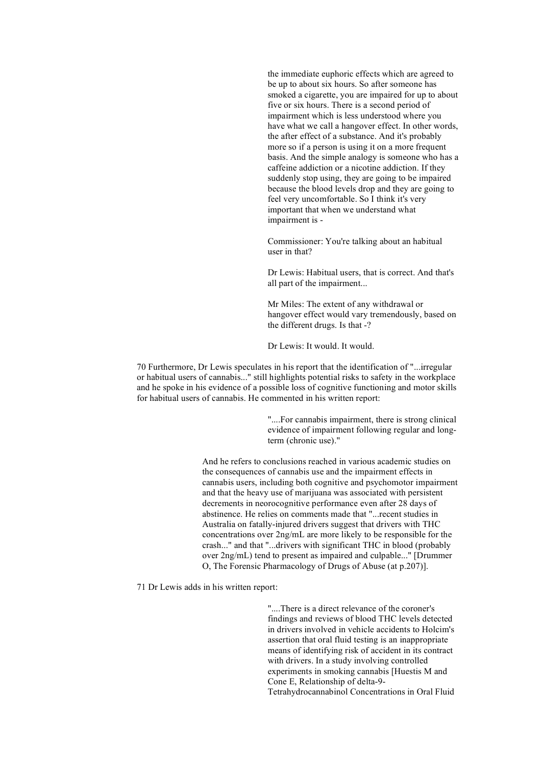the immediate euphoric effects which are agreed to be up to about six hours. So after someone has smoked a cigarette, you are impaired for up to about five or six hours. There is a second period of impairment which is less understood where you have what we call a hangover effect. In other words, the after effect of a substance. And it's probably more so if a person is using it on a more frequent basis. And the simple analogy is someone who has a caffeine addiction or a nicotine addiction. If they suddenly stop using, they are going to be impaired because the blood levels drop and they are going to feel very uncomfortable. So I think it's very important that when we understand what impairment is -

Commissioner: You're talking about an habitual user in that?

Dr Lewis: Habitual users, that is correct. And that's all part of the impairment...

Mr Miles: The extent of any withdrawal or hangover effect would vary tremendously, based on the different drugs. Is that -?

Dr Lewis: It would. It would.

70 Furthermore, Dr Lewis speculates in his report that the identification of "...irregular or habitual users of cannabis..." still highlights potential risks to safety in the workplace and he spoke in his evidence of a possible loss of cognitive functioning and motor skills for habitual users of cannabis. He commented in his written report:

> "....For cannabis impairment, there is strong clinical evidence of impairment following regular and longterm (chronic use)."

And he refers to conclusions reached in various academic studies on the consequences of cannabis use and the impairment effects in cannabis users, including both cognitive and psychomotor impairment and that the heavy use of marijuana was associated with persistent decrements in neorocognitive performance even after 28 days of abstinence. He relies on comments made that "...recent studies in Australia on fatally-injured drivers suggest that drivers with THC concentrations over 2ng/mL are more likely to be responsible for the crash..." and that "...drivers with significant THC in blood (probably over 2ng/mL) tend to present as impaired and culpable..." [Drummer O, The Forensic Pharmacology of Drugs of Abuse (at p.207)].

71 Dr Lewis adds in his written report:

"....There is a direct relevance of the coroner's findings and reviews of blood THC levels detected in drivers involved in vehicle accidents to Holcim's assertion that oral fluid testing is an inappropriate means of identifying risk of accident in its contract with drivers. In a study involving controlled experiments in smoking cannabis [Huestis M and Cone E, Relationship of delta-9- Tetrahydrocannabinol Concentrations in Oral Fluid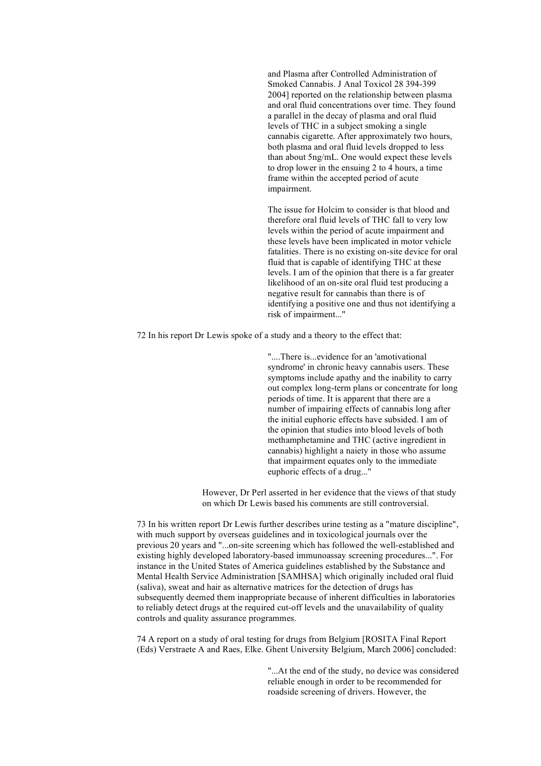and Plasma after Controlled Administration of Smoked Cannabis. J Anal Toxicol 28 394-399 2004] reported on the relationship between plasma and oral fluid concentrations over time. They found a parallel in the decay of plasma and oral fluid levels of THC in a subject smoking a single cannabis cigarette. After approximately two hours, both plasma and oral fluid levels dropped to less than about 5ng/mL. One would expect these levels to drop lower in the ensuing 2 to 4 hours, a time frame within the accepted period of acute impairment.

The issue for Holcim to consider is that blood and therefore oral fluid levels of THC fall to very low levels within the period of acute impairment and these levels have been implicated in motor vehicle fatalities. There is no existing on-site device for oral fluid that is capable of identifying THC at these levels. I am of the opinion that there is a far greater likelihood of an on-site oral fluid test producing a negative result for cannabis than there is of identifying a positive one and thus not identifying a risk of impairment..."

72 In his report Dr Lewis spoke of a study and a theory to the effect that:

"....There is...evidence for an 'amotivational syndrome' in chronic heavy cannabis users. These symptoms include apathy and the inability to carry out complex long-term plans or concentrate for long periods of time. It is apparent that there are a number of impairing effects of cannabis long after the initial euphoric effects have subsided. I am of the opinion that studies into blood levels of both methamphetamine and THC (active ingredient in cannabis) highlight a naiety in those who assume that impairment equates only to the immediate euphoric effects of a drug..."

However, Dr Perl asserted in her evidence that the views of that study on which Dr Lewis based his comments are still controversial.

73 In his written report Dr Lewis further describes urine testing as a "mature discipline", with much support by overseas guidelines and in toxicological journals over the previous 20 years and "...on-site screening which has followed the well-established and existing highly developed laboratory-based immunoassay screening procedures...". For instance in the United States of America guidelines established by the Substance and Mental Health Service Administration [SAMHSA] which originally included oral fluid (saliva), sweat and hair as alternative matrices for the detection of drugs has subsequently deemed them inappropriate because of inherent difficulties in laboratories to reliably detect drugs at the required cut-off levels and the unavailability of quality controls and quality assurance programmes.

74 A report on a study of oral testing for drugs from Belgium [ROSITA Final Report (Eds) Verstraete A and Raes, Elke. Ghent University Belgium, March 2006] concluded:

> "...At the end of the study, no device was considered reliable enough in order to be recommended for roadside screening of drivers. However, the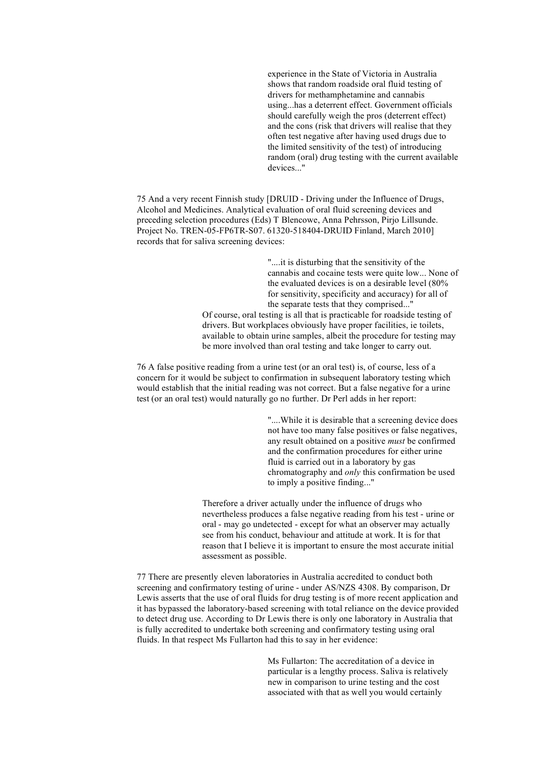experience in the State of Victoria in Australia shows that random roadside oral fluid testing of drivers for methamphetamine and cannabis using...has a deterrent effect. Government officials should carefully weigh the pros (deterrent effect) and the cons (risk that drivers will realise that they often test negative after having used drugs due to the limited sensitivity of the test) of introducing random (oral) drug testing with the current available devices."

75 And a very recent Finnish study [DRUID - Driving under the Influence of Drugs, Alcohol and Medicines. Analytical evaluation of oral fluid screening devices and preceding selection procedures (Eds) T Blencowe, Anna Pehrsson, Pirjo Lillsunde. Project No. TREN-05-FP6TR-S07. 61320-518404-DRUID Finland, March 2010] records that for saliva screening devices:

> "....it is disturbing that the sensitivity of the cannabis and cocaine tests were quite low... None of the evaluated devices is on a desirable level (80% for sensitivity, specificity and accuracy) for all of the separate tests that they comprised..."

Of course, oral testing is all that is practicable for roadside testing of drivers. But workplaces obviously have proper facilities, ie toilets, available to obtain urine samples, albeit the procedure for testing may be more involved than oral testing and take longer to carry out.

76 A false positive reading from a urine test (or an oral test) is, of course, less of a concern for it would be subject to confirmation in subsequent laboratory testing which would establish that the initial reading was not correct. But a false negative for a urine test (or an oral test) would naturally go no further. Dr Perl adds in her report:

> "....While it is desirable that a screening device does not have too many false positives or false negatives, any result obtained on a positive *must* be confirmed and the confirmation procedures for either urine fluid is carried out in a laboratory by gas chromatography and *only* this confirmation be used to imply a positive finding..."

Therefore a driver actually under the influence of drugs who nevertheless produces a false negative reading from his test - urine or oral - may go undetected - except for what an observer may actually see from his conduct, behaviour and attitude at work. It is for that reason that I believe it is important to ensure the most accurate initial assessment as possible.

77 There are presently eleven laboratories in Australia accredited to conduct both screening and confirmatory testing of urine - under AS/NZS 4308. By comparison, Dr Lewis asserts that the use of oral fluids for drug testing is of more recent application and it has bypassed the laboratory-based screening with total reliance on the device provided to detect drug use. According to Dr Lewis there is only one laboratory in Australia that is fully accredited to undertake both screening and confirmatory testing using oral fluids. In that respect Ms Fullarton had this to say in her evidence:

> Ms Fullarton: The accreditation of a device in particular is a lengthy process. Saliva is relatively new in comparison to urine testing and the cost associated with that as well you would certainly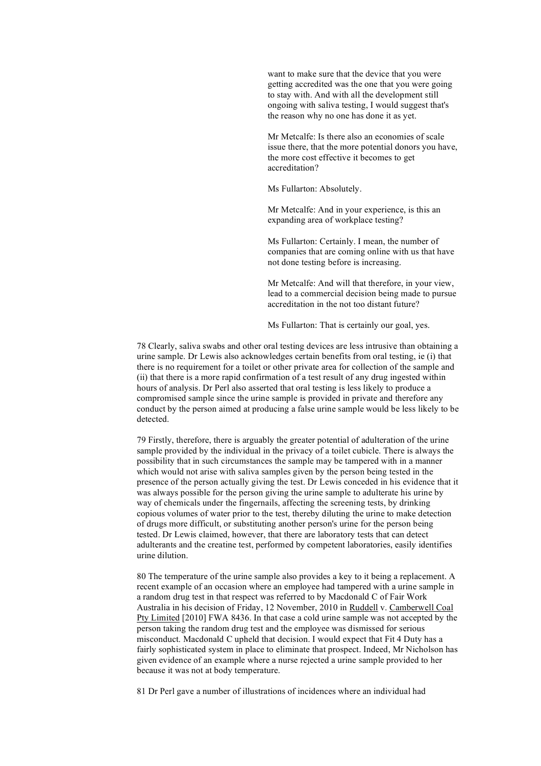want to make sure that the device that you were getting accredited was the one that you were going to stay with. And with all the development still ongoing with saliva testing, I would suggest that's the reason why no one has done it as yet.

Mr Metcalfe: Is there also an economies of scale issue there, that the more potential donors you have, the more cost effective it becomes to get accreditation?

Ms Fullarton: Absolutely.

Mr Metcalfe: And in your experience, is this an expanding area of workplace testing?

Ms Fullarton: Certainly. I mean, the number of companies that are coming online with us that have not done testing before is increasing.

Mr Metcalfe: And will that therefore, in your view, lead to a commercial decision being made to pursue accreditation in the not too distant future?

Ms Fullarton: That is certainly our goal, yes.

78 Clearly, saliva swabs and other oral testing devices are less intrusive than obtaining a urine sample. Dr Lewis also acknowledges certain benefits from oral testing, ie (i) that there is no requirement for a toilet or other private area for collection of the sample and (ii) that there is a more rapid confirmation of a test result of any drug ingested within hours of analysis. Dr Perl also asserted that oral testing is less likely to produce a compromised sample since the urine sample is provided in private and therefore any conduct by the person aimed at producing a false urine sample would be less likely to be detected.

79 Firstly, therefore, there is arguably the greater potential of adulteration of the urine sample provided by the individual in the privacy of a toilet cubicle. There is always the possibility that in such circumstances the sample may be tampered with in a manner which would not arise with saliva samples given by the person being tested in the presence of the person actually giving the test. Dr Lewis conceded in his evidence that it was always possible for the person giving the urine sample to adulterate his urine by way of chemicals under the fingernails, affecting the screening tests, by drinking copious volumes of water prior to the test, thereby diluting the urine to make detection of drugs more difficult, or substituting another person's urine for the person being tested. Dr Lewis claimed, however, that there are laboratory tests that can detect adulterants and the creatine test, performed by competent laboratories, easily identifies urine dilution.

80 The temperature of the urine sample also provides a key to it being a replacement. A recent example of an occasion where an employee had tampered with a urine sample in a random drug test in that respect was referred to by Macdonald C of Fair Work Australia in his decision of Friday, 12 November, 2010 in Ruddell v. Camberwell Coal Pty Limited [2010] FWA 8436. In that case a cold urine sample was not accepted by the person taking the random drug test and the employee was dismissed for serious misconduct. Macdonald C upheld that decision. I would expect that Fit 4 Duty has a fairly sophisticated system in place to eliminate that prospect. Indeed, Mr Nicholson has given evidence of an example where a nurse rejected a urine sample provided to her because it was not at body temperature.

81 Dr Perl gave a number of illustrations of incidences where an individual had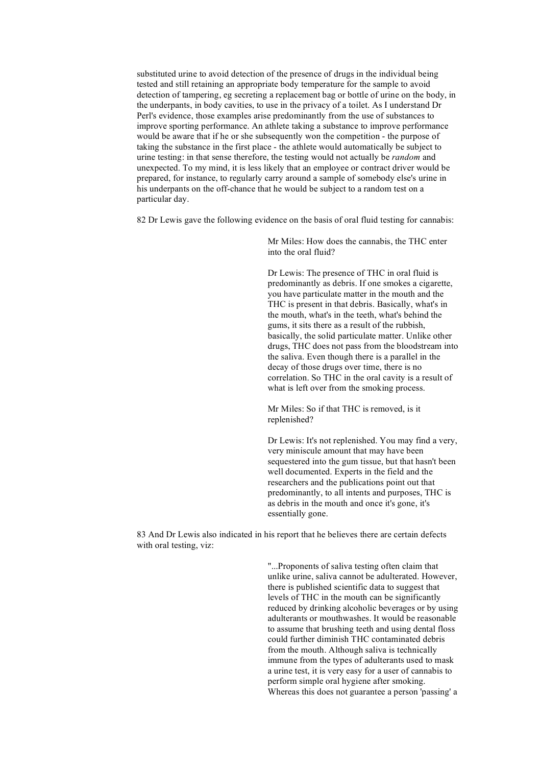substituted urine to avoid detection of the presence of drugs in the individual being tested and still retaining an appropriate body temperature for the sample to avoid detection of tampering, eg secreting a replacement bag or bottle of urine on the body, in the underpants, in body cavities, to use in the privacy of a toilet. As I understand Dr Perl's evidence, those examples arise predominantly from the use of substances to improve sporting performance. An athlete taking a substance to improve performance would be aware that if he or she subsequently won the competition - the purpose of taking the substance in the first place - the athlete would automatically be subject to urine testing: in that sense therefore, the testing would not actually be *random* and unexpected. To my mind, it is less likely that an employee or contract driver would be prepared, for instance, to regularly carry around a sample of somebody else's urine in his underpants on the off-chance that he would be subject to a random test on a particular day.

82 Dr Lewis gave the following evidence on the basis of oral fluid testing for cannabis:

Mr Miles: How does the cannabis, the THC enter into the oral fluid?

Dr Lewis: The presence of THC in oral fluid is predominantly as debris. If one smokes a cigarette, you have particulate matter in the mouth and the THC is present in that debris. Basically, what's in the mouth, what's in the teeth, what's behind the gums, it sits there as a result of the rubbish, basically, the solid particulate matter. Unlike other drugs, THC does not pass from the bloodstream into the saliva. Even though there is a parallel in the decay of those drugs over time, there is no correlation. So THC in the oral cavity is a result of what is left over from the smoking process.

Mr Miles: So if that THC is removed, is it replenished?

Dr Lewis: It's not replenished. You may find a very, very miniscule amount that may have been sequestered into the gum tissue, but that hasn't been well documented. Experts in the field and the researchers and the publications point out that predominantly, to all intents and purposes, THC is as debris in the mouth and once it's gone, it's essentially gone.

83 And Dr Lewis also indicated in his report that he believes there are certain defects with oral testing, viz:

> "...Proponents of saliva testing often claim that unlike urine, saliva cannot be adulterated. However, there is published scientific data to suggest that levels of THC in the mouth can be significantly reduced by drinking alcoholic beverages or by using adulterants or mouthwashes. It would be reasonable to assume that brushing teeth and using dental floss could further diminish THC contaminated debris from the mouth. Although saliva is technically immune from the types of adulterants used to mask a urine test, it is very easy for a user of cannabis to perform simple oral hygiene after smoking. Whereas this does not guarantee a person 'passing' a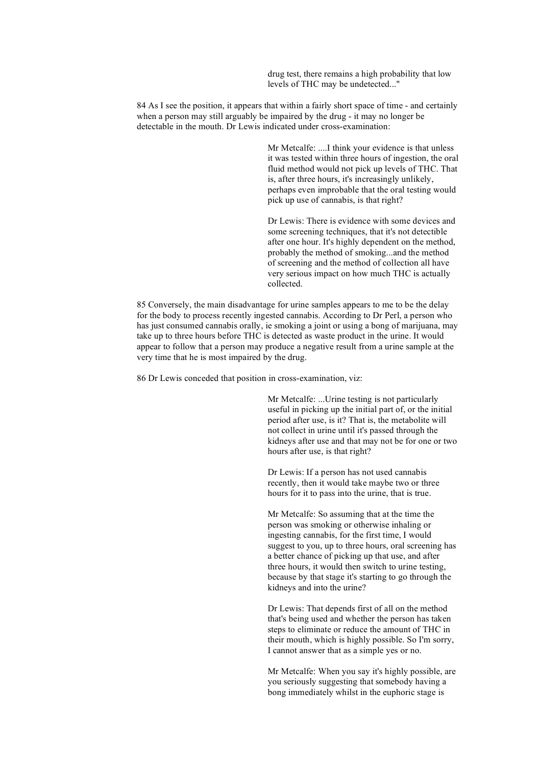drug test, there remains a high probability that low levels of THC may be undetected..."

84 As I see the position, it appears that within a fairly short space of time - and certainly when a person may still arguably be impaired by the drug - it may no longer be detectable in the mouth. Dr Lewis indicated under cross-examination:

> Mr Metcalfe: ....I think your evidence is that unless it was tested within three hours of ingestion, the oral fluid method would not pick up levels of THC. That is, after three hours, it's increasingly unlikely, perhaps even improbable that the oral testing would pick up use of cannabis, is that right?

Dr Lewis: There is evidence with some devices and some screening techniques, that it's not detectible after one hour. It's highly dependent on the method, probably the method of smoking...and the method of screening and the method of collection all have very serious impact on how much THC is actually collected.

85 Conversely, the main disadvantage for urine samples appears to me to be the delay for the body to process recently ingested cannabis. According to Dr Perl, a person who has just consumed cannabis orally, ie smoking a joint or using a bong of marijuana, may take up to three hours before THC is detected as waste product in the urine. It would appear to follow that a person may produce a negative result from a urine sample at the very time that he is most impaired by the drug.

86 Dr Lewis conceded that position in cross-examination, viz:

Mr Metcalfe: ...Urine testing is not particularly useful in picking up the initial part of, or the initial period after use, is it? That is, the metabolite will not collect in urine until it's passed through the kidneys after use and that may not be for one or two hours after use, is that right?

Dr Lewis: If a person has not used cannabis recently, then it would take maybe two or three hours for it to pass into the urine, that is true.

Mr Metcalfe: So assuming that at the time the person was smoking or otherwise inhaling or ingesting cannabis, for the first time, I would suggest to you, up to three hours, oral screening has a better chance of picking up that use, and after three hours, it would then switch to urine testing, because by that stage it's starting to go through the kidneys and into the urine?

Dr Lewis: That depends first of all on the method that's being used and whether the person has taken steps to eliminate or reduce the amount of THC in their mouth, which is highly possible. So I'm sorry, I cannot answer that as a simple yes or no.

Mr Metcalfe: When you say it's highly possible, are you seriously suggesting that somebody having a bong immediately whilst in the euphoric stage is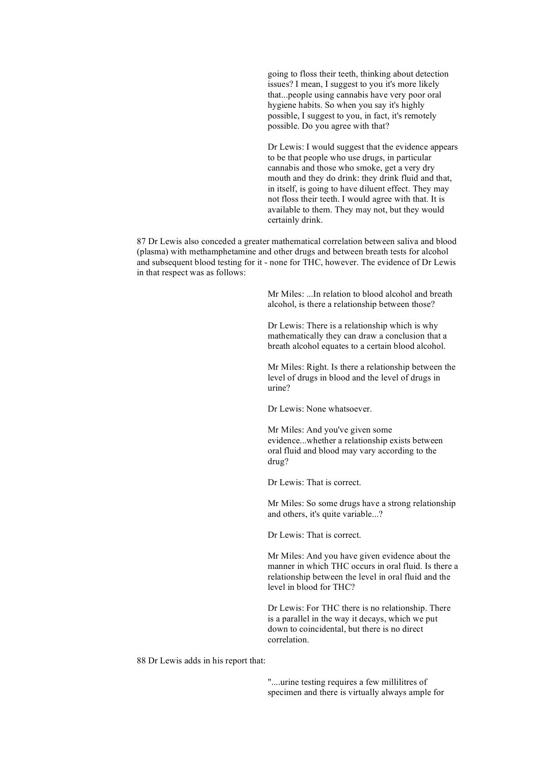going to floss their teeth, thinking about detection issues? I mean, I suggest to you it's more likely that...people using cannabis have very poor oral hygiene habits. So when you say it's highly possible, I suggest to you, in fact, it's remotely possible. Do you agree with that?

Dr Lewis: I would suggest that the evidence appears to be that people who use drugs, in particular cannabis and those who smoke, get a very dry mouth and they do drink: they drink fluid and that, in itself, is going to have diluent effect. They may not floss their teeth. I would agree with that. It is available to them. They may not, but they would certainly drink.

87 Dr Lewis also conceded a greater mathematical correlation between saliva and blood (plasma) with methamphetamine and other drugs and between breath tests for alcohol and subsequent blood testing for it - none for THC, however. The evidence of Dr Lewis in that respect was as follows:

> Mr Miles: ...In relation to blood alcohol and breath alcohol, is there a relationship between those?

Dr Lewis: There is a relationship which is why mathematically they can draw a conclusion that a breath alcohol equates to a certain blood alcohol.

Mr Miles: Right. Is there a relationship between the level of drugs in blood and the level of drugs in urine?

Dr Lewis: None whatsoever.

Mr Miles: And you've given some evidence...whether a relationship exists between oral fluid and blood may vary according to the drug?

Dr Lewis: That is correct.

Mr Miles: So some drugs have a strong relationship and others, it's quite variable...?

Dr Lewis: That is correct.

Mr Miles: And you have given evidence about the manner in which THC occurs in oral fluid. Is there a relationship between the level in oral fluid and the level in blood for THC?

Dr Lewis: For THC there is no relationship. There is a parallel in the way it decays, which we put down to coincidental, but there is no direct correlation.

88 Dr Lewis adds in his report that:

"....urine testing requires a few millilitres of specimen and there is virtually always ample for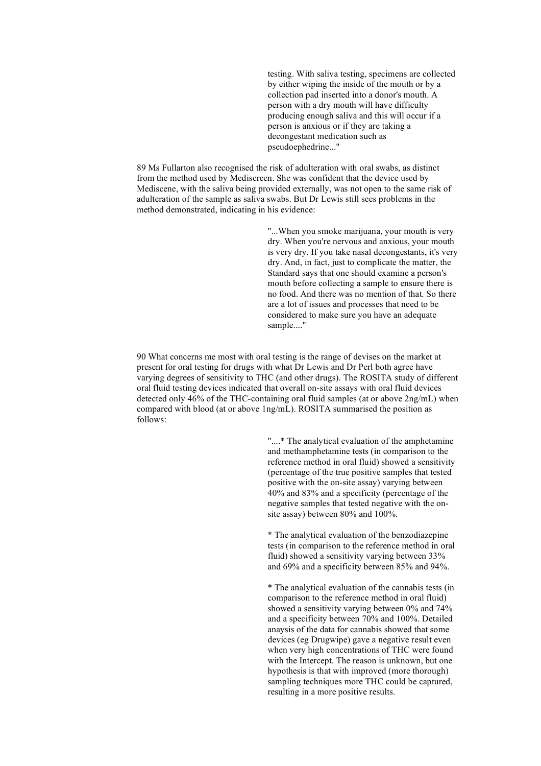testing. With saliva testing, specimens are collected by either wiping the inside of the mouth or by a collection pad inserted into a donor's mouth. A person with a dry mouth will have difficulty producing enough saliva and this will occur if a person is anxious or if they are taking a decongestant medication such as pseudoephedrine..."

89 Ms Fullarton also recognised the risk of adulteration with oral swabs, as distinct from the method used by Mediscreen. She was confident that the device used by Mediscene, with the saliva being provided externally, was not open to the same risk of adulteration of the sample as saliva swabs. But Dr Lewis still sees problems in the method demonstrated, indicating in his evidence:

> "...When you smoke marijuana, your mouth is very dry. When you're nervous and anxious, your mouth is very dry. If you take nasal decongestants, it's very dry. And, in fact, just to complicate the matter, the Standard says that one should examine a person's mouth before collecting a sample to ensure there is no food. And there was no mention of that. So there are a lot of issues and processes that need to be considered to make sure you have an adequate sample...."

90 What concerns me most with oral testing is the range of devises on the market at present for oral testing for drugs with what Dr Lewis and Dr Perl both agree have varying degrees of sensitivity to THC (and other drugs). The ROSITA study of different oral fluid testing devices indicated that overall on-site assays with oral fluid devices detected only 46% of the THC-containing oral fluid samples (at or above 2ng/mL) when compared with blood (at or above 1ng/mL). ROSITA summarised the position as follows:

> "....\* The analytical evaluation of the amphetamine and methamphetamine tests (in comparison to the reference method in oral fluid) showed a sensitivity (percentage of the true positive samples that tested positive with the on-site assay) varying between 40% and 83% and a specificity (percentage of the negative samples that tested negative with the onsite assay) between 80% and 100%.

> \* The analytical evaluation of the benzodiazepine tests (in comparison to the reference method in oral fluid) showed a sensitivity varying between 33% and 69% and a specificity between 85% and 94%.

> \* The analytical evaluation of the cannabis tests (in comparison to the reference method in oral fluid) showed a sensitivity varying between 0% and 74% and a specificity between 70% and 100%. Detailed anaysis of the data for cannabis showed that some devices (eg Drugwipe) gave a negative result even when very high concentrations of THC were found with the Intercept. The reason is unknown, but one hypothesis is that with improved (more thorough) sampling techniques more THC could be captured, resulting in a more positive results.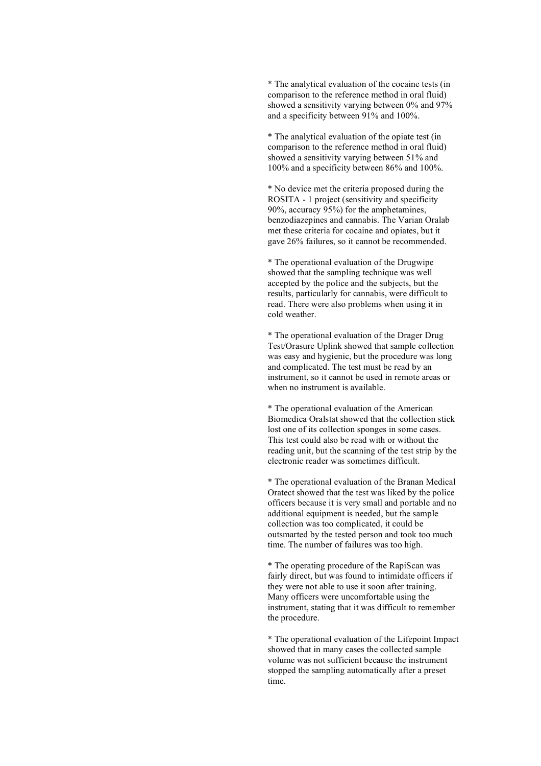\* The analytical evaluation of the cocaine tests (in comparison to the reference method in oral fluid) showed a sensitivity varying between 0% and 97% and a specificity between 91% and 100%.

\* The analytical evaluation of the opiate test (in comparison to the reference method in oral fluid) showed a sensitivity varying between 51% and 100% and a specificity between 86% and 100%.

\* No device met the criteria proposed during the ROSITA - 1 project (sensitivity and specificity 90%, accuracy 95%) for the amphetamines, benzodiazepines and cannabis. The Varian Oralab met these criteria for cocaine and opiates, but it gave 26% failures, so it cannot be recommended.

\* The operational evaluation of the Drugwipe showed that the sampling technique was well accepted by the police and the subjects, but the results, particularly for cannabis, were difficult to read. There were also problems when using it in cold weather.

\* The operational evaluation of the Drager Drug Test/Orasure Uplink showed that sample collection was easy and hygienic, but the procedure was long and complicated. The test must be read by an instrument, so it cannot be used in remote areas or when no instrument is available.

\* The operational evaluation of the American Biomedica Oralstat showed that the collection stick lost one of its collection sponges in some cases. This test could also be read with or without the reading unit, but the scanning of the test strip by the electronic reader was sometimes difficult.

\* The operational evaluation of the Branan Medical Oratect showed that the test was liked by the police officers because it is very small and portable and no additional equipment is needed, but the sample collection was too complicated, it could be outsmarted by the tested person and took too much time. The number of failures was too high.

\* The operating procedure of the RapiScan was fairly direct, but was found to intimidate officers if they were not able to use it soon after training. Many officers were uncomfortable using the instrument, stating that it was difficult to remember the procedure.

\* The operational evaluation of the Lifepoint Impact showed that in many cases the collected sample volume was not sufficient because the instrument stopped the sampling automatically after a preset time.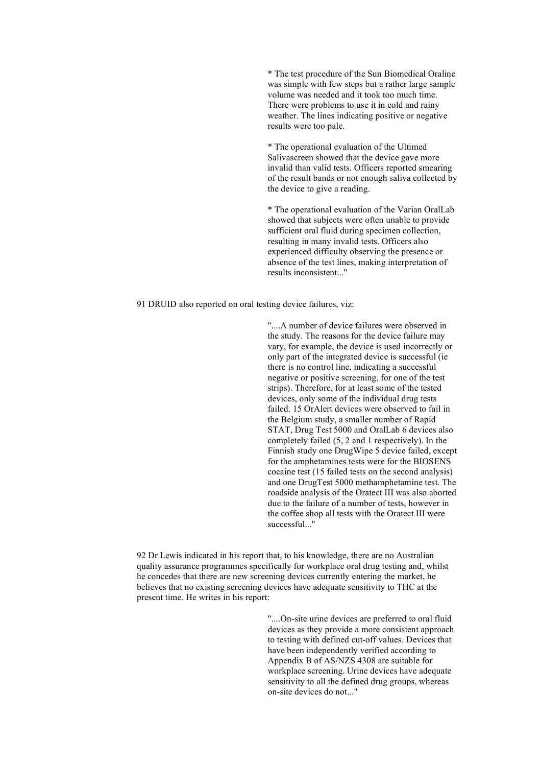\* The test procedure of the Sun Biomedical Oraline was simple with few steps but a rather large sample volume was needed and it took too much time. There were problems to use it in cold and rainy weather. The lines indicating positive or negative results were too pale.

\* The operational evaluation of the Ultimed Salivascreen showed that the device gave more invalid than valid tests. Officers reported smearing of the result bands or not enough saliva collected by the device to give a reading.

\* The operational evaluation of the Varian OralLab showed that subjects were often unable to provide sufficient oral fluid during specimen collection, resulting in many invalid tests. Officers also experienced difficulty observing the presence or absence of the test lines, making interpretation of results inconsistent..."

91 DRUID also reported on oral testing device failures, viz:

"....A number of device failures were observed in the study. The reasons for the device failure may vary, for example, the device is used incorrectly or only part of the integrated device is successful (ie there is no control line, indicating a successful negative or positive screening, for one of the test strips). Therefore, for at least some of the tested devices, only some of the individual drug tests failed. 15 OrAlert devices were observed to fail in the Belgium study, a smaller number of Rapid STAT, Drug Test 5000 and OralLab 6 devices also completely failed (5, 2 and 1 respectively). In the Finnish study one DrugWipe 5 device failed, except for the amphetamines tests were for the BIOSENS cocaine test (15 failed tests on the second analysis) and one DrugTest 5000 methamphetamine test. The roadside analysis of the Oratect III was also aborted due to the failure of a number of tests, however in the coffee shop all tests with the Oratect III were successful..."

92 Dr Lewis indicated in his report that, to his knowledge, there are no Australian quality assurance programmes specifically for workplace oral drug testing and, whilst he concedes that there are new screening devices currently entering the market, he believes that no existing screening devices have adequate sensitivity to THC at the present time. He writes in his report:

> "....On-site urine devices are preferred to oral fluid devices as they provide a more consistent approach to testing with defined cut-off values. Devices that have been independently verified according to Appendix B of AS/NZS 4308 are suitable for workplace screening. Urine devices have adequate sensitivity to all the defined drug groups, whereas on-site devices do not..."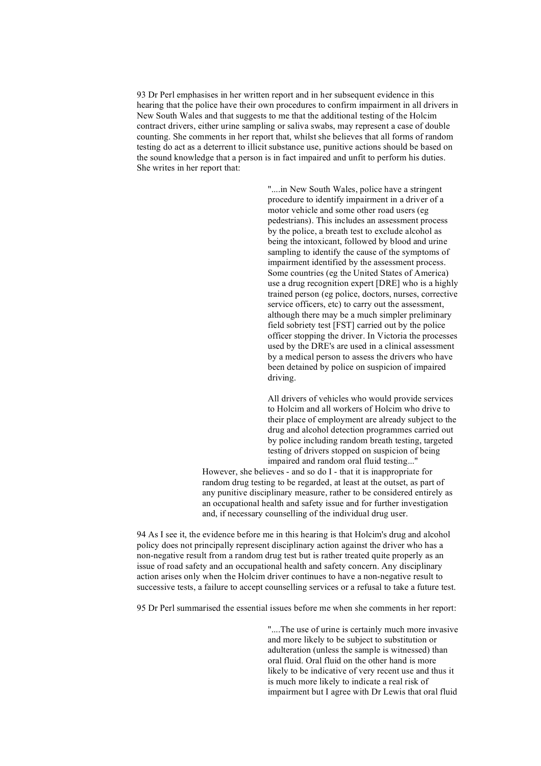93 Dr Perl emphasises in her written report and in her subsequent evidence in this hearing that the police have their own procedures to confirm impairment in all drivers in New South Wales and that suggests to me that the additional testing of the Holcim contract drivers, either urine sampling or saliva swabs, may represent a case of double counting. She comments in her report that, whilst she believes that all forms of random testing do act as a deterrent to illicit substance use, punitive actions should be based on the sound knowledge that a person is in fact impaired and unfit to perform his duties. She writes in her report that:

> "....in New South Wales, police have a stringent procedure to identify impairment in a driver of a motor vehicle and some other road users (eg pedestrians). This includes an assessment process by the police, a breath test to exclude alcohol as being the intoxicant, followed by blood and urine sampling to identify the cause of the symptoms of impairment identified by the assessment process. Some countries (eg the United States of America) use a drug recognition expert [DRE] who is a highly trained person (eg police, doctors, nurses, corrective service officers, etc) to carry out the assessment, although there may be a much simpler preliminary field sobriety test [FST] carried out by the police officer stopping the driver. In Victoria the processes used by the DRE's are used in a clinical assessment by a medical person to assess the drivers who have been detained by police on suspicion of impaired driving.

> All drivers of vehicles who would provide services to Holcim and all workers of Holcim who drive to their place of employment are already subject to the drug and alcohol detection programmes carried out by police including random breath testing, targeted testing of drivers stopped on suspicion of being impaired and random oral fluid testing..."

However, she believes - and so do I - that it is inappropriate for random drug testing to be regarded, at least at the outset, as part of any punitive disciplinary measure, rather to be considered entirely as an occupational health and safety issue and for further investigation and, if necessary counselling of the individual drug user.

94 As I see it, the evidence before me in this hearing is that Holcim's drug and alcohol policy does not principally represent disciplinary action against the driver who has a non-negative result from a random drug test but is rather treated quite properly as an issue of road safety and an occupational health and safety concern. Any disciplinary action arises only when the Holcim driver continues to have a non-negative result to successive tests, a failure to accept counselling services or a refusal to take a future test.

95 Dr Perl summarised the essential issues before me when she comments in her report:

"....The use of urine is certainly much more invasive and more likely to be subject to substitution or adulteration (unless the sample is witnessed) than oral fluid. Oral fluid on the other hand is more likely to be indicative of very recent use and thus it is much more likely to indicate a real risk of impairment but I agree with Dr Lewis that oral fluid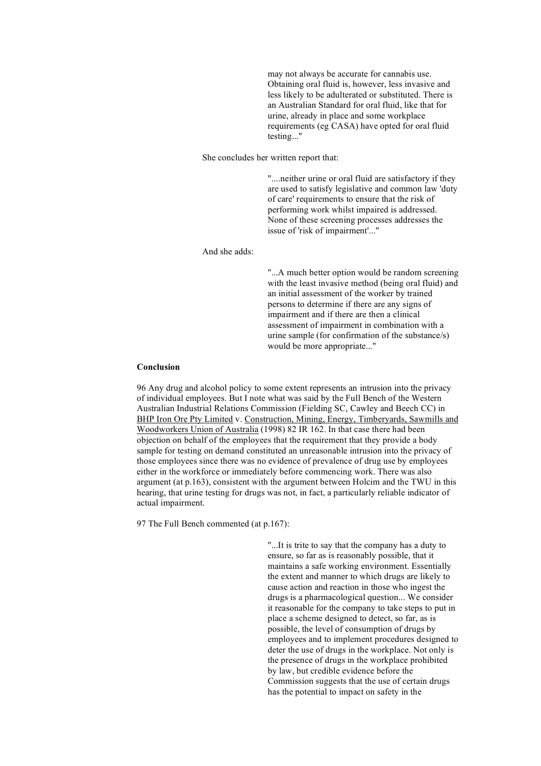may not always be accurate for cannabis use. Obtaining oral fluid is, however, less invasive and less likely to be adulterated or substituted. There is an Australian Standard for oral fluid, like that for urine, already in place and some workplace requirements (eg CASA) have opted for oral fluid testing..."

She concludes her written report that:

"....neither urine or oral fluid are satisfactory if they are used to satisfy legislative and common law 'duty of care' requirements to ensure that the risk of performing work whilst impaired is addressed. None of these screening processes addresses the issue of 'risk of impairment'..."

# And she adds:

"...A much better option would be random screening with the least invasive method (being oral fluid) and an initial assessment of the worker by trained persons to determine if there are any signs of impairment and if there are then a clinical assessment of impairment in combination with a urine sample (for confirmation of the substance/s) would be more appropriate..."

### **Conclusion**

96 Any drug and alcohol policy to some extent represents an intrusion into the privacy of individual employees. But I note what was said by the Full Bench of the Western Australian Industrial Relations Commission (Fielding SC, Cawley and Beech CC) in BHP Iron Ore Pty Limited v. Construction, Mining, Energy, Timberyards, Sawmills and Woodworkers Union of Australia (1998) 82 IR 162. In that case there had been objection on behalf of the employees that the requirement that they provide a body sample for testing on demand constituted an unreasonable intrusion into the privacy of those employees since there was no evidence of prevalence of drug use by employees either in the workforce or immediately before commencing work. There was also argument (at p.163), consistent with the argument between Holcim and the TWU in this hearing, that urine testing for drugs was not, in fact, a particularly reliable indicator of actual impairment.

97 The Full Bench commented (at p.167):

"...It is trite to say that the company has a duty to ensure, so far as is reasonably possible, that it maintains a safe working environment. Essentially the extent and manner to which drugs are likely to cause action and reaction in those who ingest the drugs is a pharmacological question... We consider it reasonable for the company to take steps to put in place a scheme designed to detect, so far, as is possible, the level of consumption of drugs by employees and to implement procedures designed to deter the use of drugs in the workplace. Not only is the presence of drugs in the workplace prohibited by law, but credible evidence before the Commission suggests that the use of certain drugs has the potential to impact on safety in the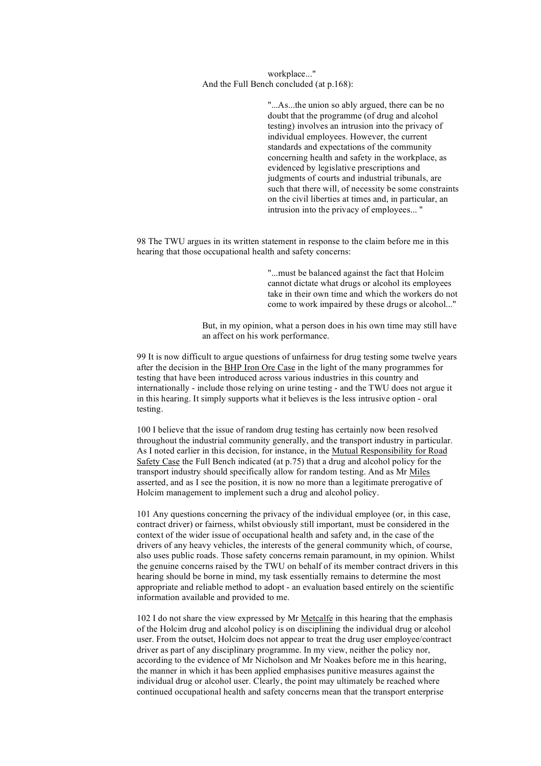# workplace..." And the Full Bench concluded (at p.168):

"...As...the union so ably argued, there can be no doubt that the programme (of drug and alcohol testing) involves an intrusion into the privacy of individual employees. However, the current standards and expectations of the community concerning health and safety in the workplace, as evidenced by legislative prescriptions and judgments of courts and industrial tribunals, are such that there will, of necessity be some constraints on the civil liberties at times and, in particular, an intrusion into the privacy of employees... "

98 The TWU argues in its written statement in response to the claim before me in this hearing that those occupational health and safety concerns:

> "...must be balanced against the fact that Holcim cannot dictate what drugs or alcohol its employees take in their own time and which the workers do not come to work impaired by these drugs or alcohol..."

But, in my opinion, what a person does in his own time may still have an affect on his work performance.

99 It is now difficult to argue questions of unfairness for drug testing some twelve years after the decision in the BHP Iron Ore Case in the light of the many programmes for testing that have been introduced across various industries in this country and internationally - include those relying on urine testing - and the TWU does not argue it in this hearing. It simply supports what it believes is the less intrusive option - oral testing.

100 I believe that the issue of random drug testing has certainly now been resolved throughout the industrial community generally, and the transport industry in particular. As I noted earlier in this decision, for instance, in the Mutual Responsibility for Road Safety Case the Full Bench indicated (at p.75) that a drug and alcohol policy for the transport industry should specifically allow for random testing. And as Mr Miles asserted, and as I see the position, it is now no more than a legitimate prerogative of Holcim management to implement such a drug and alcohol policy.

101 Any questions concerning the privacy of the individual employee (or, in this case, contract driver) or fairness, whilst obviously still important, must be considered in the context of the wider issue of occupational health and safety and, in the case of the drivers of any heavy vehicles, the interests of the general community which, of course, also uses public roads. Those safety concerns remain paramount, in my opinion. Whilst the genuine concerns raised by the TWU on behalf of its member contract drivers in this hearing should be borne in mind, my task essentially remains to determine the most appropriate and reliable method to adopt - an evaluation based entirely on the scientific information available and provided to me.

102 I do not share the view expressed by Mr Metcalfe in this hearing that the emphasis of the Holcim drug and alcohol policy is on disciplining the individual drug or alcohol user. From the outset, Holcim does not appear to treat the drug user employee/contract driver as part of any disciplinary programme. In my view, neither the policy nor, according to the evidence of Mr Nicholson and Mr Noakes before me in this hearing, the manner in which it has been applied emphasises punitive measures against the individual drug or alcohol user. Clearly, the point may ultimately be reached where continued occupational health and safety concerns mean that the transport enterprise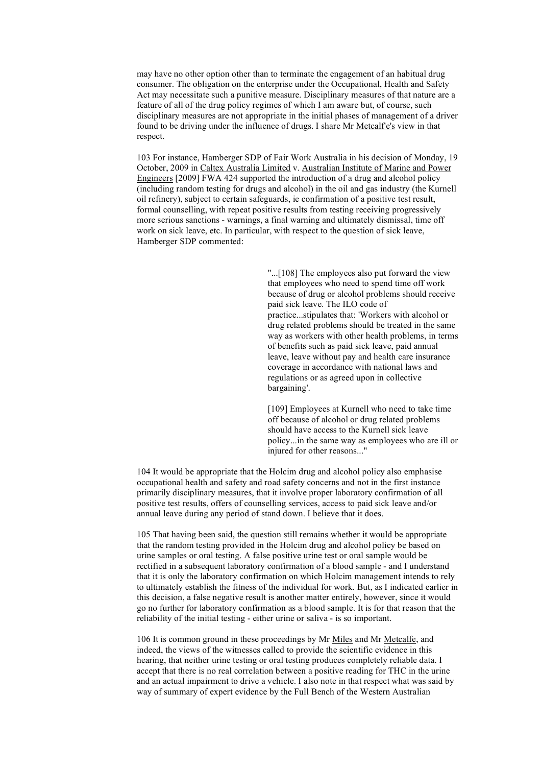may have no other option other than to terminate the engagement of an habitual drug consumer. The obligation on the enterprise under the Occupational, Health and Safety Act may necessitate such a punitive measure. Disciplinary measures of that nature are a feature of all of the drug policy regimes of which I am aware but, of course, such disciplinary measures are not appropriate in the initial phases of management of a driver found to be driving under the influence of drugs. I share Mr Metcalf'e's view in that respect.

103 For instance, Hamberger SDP of Fair Work Australia in his decision of Monday, 19 October, 2009 in Caltex Australia Limited v. Australian Institute of Marine and Power Engineers [2009] FWA 424 supported the introduction of a drug and alcohol policy (including random testing for drugs and alcohol) in the oil and gas industry (the Kurnell oil refinery), subject to certain safeguards, ie confirmation of a positive test result, formal counselling, with repeat positive results from testing receiving progressively more serious sanctions - warnings, a final warning and ultimately dismissal, time off work on sick leave, etc. In particular, with respect to the question of sick leave, Hamberger SDP commented:

> "...[108] The employees also put forward the view that employees who need to spend time off work because of drug or alcohol problems should receive paid sick leave. The ILO code of practice...stipulates that: 'Workers with alcohol or drug related problems should be treated in the same way as workers with other health problems, in terms of benefits such as paid sick leave, paid annual leave, leave without pay and health care insurance coverage in accordance with national laws and regulations or as agreed upon in collective bargaining'.

> [109] Employees at Kurnell who need to take time off because of alcohol or drug related problems should have access to the Kurnell sick leave policy...in the same way as employees who are ill or injured for other reasons..."

104 It would be appropriate that the Holcim drug and alcohol policy also emphasise occupational health and safety and road safety concerns and not in the first instance primarily disciplinary measures, that it involve proper laboratory confirmation of all positive test results, offers of counselling services, access to paid sick leave and/or annual leave during any period of stand down. I believe that it does.

105 That having been said, the question still remains whether it would be appropriate that the random testing provided in the Holcim drug and alcohol policy be based on urine samples or oral testing. A false positive urine test or oral sample would be rectified in a subsequent laboratory confirmation of a blood sample - and I understand that it is only the laboratory confirmation on which Holcim management intends to rely to ultimately establish the fitness of the individual for work. But, as I indicated earlier in this decision, a false negative result is another matter entirely, however, since it would go no further for laboratory confirmation as a blood sample. It is for that reason that the reliability of the initial testing - either urine or saliva - is so important.

106 It is common ground in these proceedings by Mr Miles and Mr Metcalfe, and indeed, the views of the witnesses called to provide the scientific evidence in this hearing, that neither urine testing or oral testing produces completely reliable data. I accept that there is no real correlation between a positive reading for THC in the urine and an actual impairment to drive a vehicle. I also note in that respect what was said by way of summary of expert evidence by the Full Bench of the Western Australian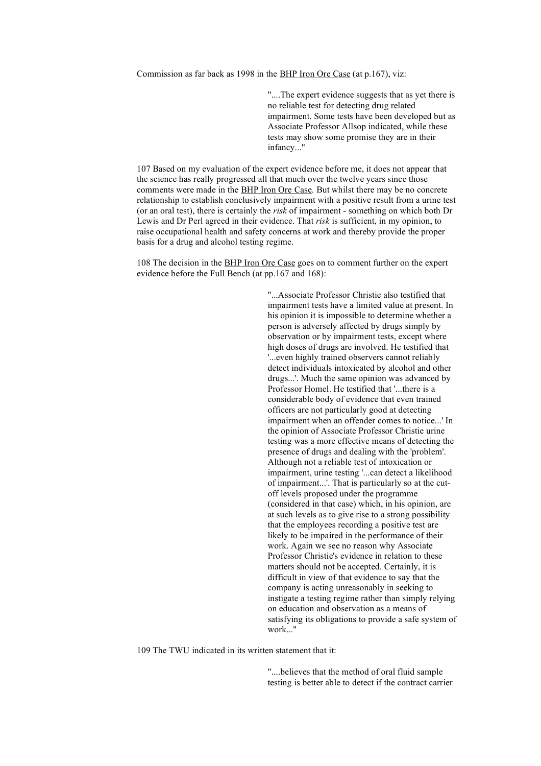Commission as far back as 1998 in the BHP Iron Ore Case (at p.167), viz:

"....The expert evidence suggests that as yet there is no reliable test for detecting drug related impairment. Some tests have been developed but as Associate Professor Allsop indicated, while these tests may show some promise they are in their infancy..."

107 Based on my evaluation of the expert evidence before me, it does not appear that the science has really progressed all that much over the twelve years since those comments were made in the BHP Iron Ore Case. But whilst there may be no concrete relationship to establish conclusively impairment with a positive result from a urine test (or an oral test), there is certainly the *risk* of impairment - something on which both Dr Lewis and Dr Perl agreed in their evidence. That *risk* is sufficient, in my opinion, to raise occupational health and safety concerns at work and thereby provide the proper basis for a drug and alcohol testing regime.

108 The decision in the BHP Iron Ore Case goes on to comment further on the expert evidence before the Full Bench (at pp.167 and 168):

> "...Associate Professor Christie also testified that impairment tests have a limited value at present. In his opinion it is impossible to determine whether a person is adversely affected by drugs simply by observation or by impairment tests, except where high doses of drugs are involved. He testified that '...even highly trained observers cannot reliably detect individuals intoxicated by alcohol and other drugs...'. Much the same opinion was advanced by Professor Homel. He testified that '...there is a considerable body of evidence that even trained officers are not particularly good at detecting impairment when an offender comes to notice...' In the opinion of Associate Professor Christie urine testing was a more effective means of detecting the presence of drugs and dealing with the 'problem'. Although not a reliable test of intoxication or impairment, urine testing '...can detect a likelihood of impairment...'. That is particularly so at the cutoff levels proposed under the programme (considered in that case) which, in his opinion, are at such levels as to give rise to a strong possibility that the employees recording a positive test are likely to be impaired in the performance of their work. Again we see no reason why Associate Professor Christie's evidence in relation to these matters should not be accepted. Certainly, it is difficult in view of that evidence to say that the company is acting unreasonably in seeking to instigate a testing regime rather than simply relying on education and observation as a means of satisfying its obligations to provide a safe system of work<sup>"</sup>

109 The TWU indicated in its written statement that it:

"....believes that the method of oral fluid sample testing is better able to detect if the contract carrier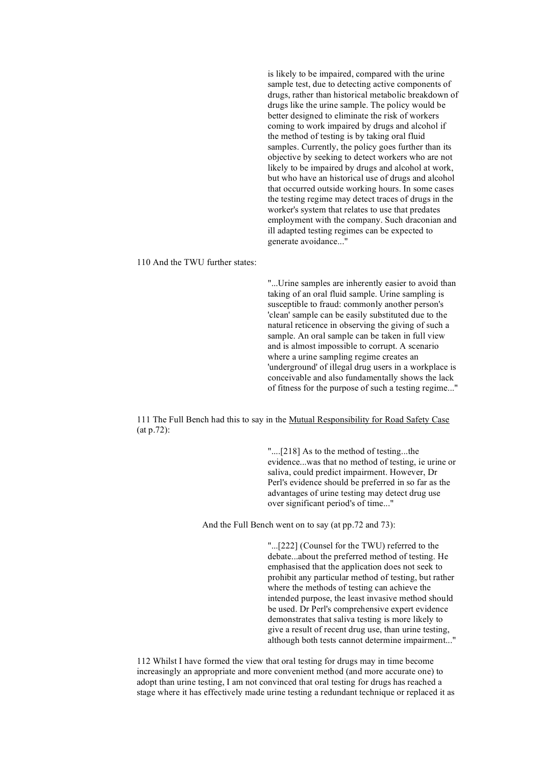is likely to be impaired, compared with the urine sample test, due to detecting active components of drugs, rather than historical metabolic breakdown of drugs like the urine sample. The policy would be better designed to eliminate the risk of workers coming to work impaired by drugs and alcohol if the method of testing is by taking oral fluid samples. Currently, the policy goes further than its objective by seeking to detect workers who are not likely to be impaired by drugs and alcohol at work, but who have an historical use of drugs and alcohol that occurred outside working hours. In some cases the testing regime may detect traces of drugs in the worker's system that relates to use that predates employment with the company. Such draconian and ill adapted testing regimes can be expected to generate avoidance..."

#### 110 And the TWU further states:

"...Urine samples are inherently easier to avoid than taking of an oral fluid sample. Urine sampling is susceptible to fraud: commonly another person's 'clean' sample can be easily substituted due to the natural reticence in observing the giving of such a sample. An oral sample can be taken in full view and is almost impossible to corrupt. A scenario where a urine sampling regime creates an 'underground' of illegal drug users in a workplace is conceivable and also fundamentally shows the lack of fitness for the purpose of such a testing regime..."

111 The Full Bench had this to say in the Mutual Responsibility for Road Safety Case (at p.72):

> "....[218] As to the method of testing...the evidence...was that no method of testing, ie urine or saliva, could predict impairment. However, Dr Perl's evidence should be preferred in so far as the advantages of urine testing may detect drug use over significant period's of time..."

And the Full Bench went on to say (at pp.72 and 73):

"...[222] (Counsel for the TWU) referred to the debate...about the preferred method of testing. He emphasised that the application does not seek to prohibit any particular method of testing, but rather where the methods of testing can achieve the intended purpose, the least invasive method should be used. Dr Perl's comprehensive expert evidence demonstrates that saliva testing is more likely to give a result of recent drug use, than urine testing, although both tests cannot determine impairment..."

112 Whilst I have formed the view that oral testing for drugs may in time become increasingly an appropriate and more convenient method (and more accurate one) to adopt than urine testing, I am not convinced that oral testing for drugs has reached a stage where it has effectively made urine testing a redundant technique or replaced it as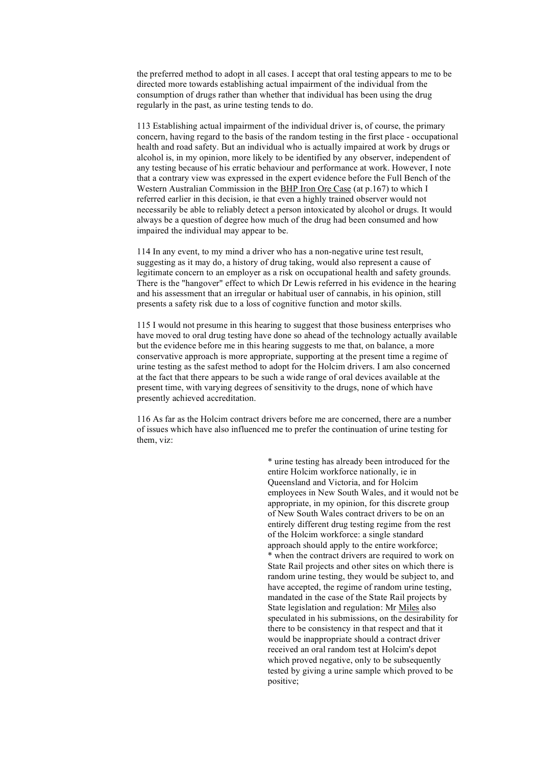the preferred method to adopt in all cases. I accept that oral testing appears to me to be directed more towards establishing actual impairment of the individual from the consumption of drugs rather than whether that individual has been using the drug regularly in the past, as urine testing tends to do.

113 Establishing actual impairment of the individual driver is, of course, the primary concern, having regard to the basis of the random testing in the first place - occupational health and road safety. But an individual who is actually impaired at work by drugs or alcohol is, in my opinion, more likely to be identified by any observer, independent of any testing because of his erratic behaviour and performance at work. However, I note that a contrary view was expressed in the expert evidence before the Full Bench of the Western Australian Commission in the BHP Iron Ore Case (at p.167) to which I referred earlier in this decision, ie that even a highly trained observer would not necessarily be able to reliably detect a person intoxicated by alcohol or drugs. It would always be a question of degree how much of the drug had been consumed and how impaired the individual may appear to be.

114 In any event, to my mind a driver who has a non-negative urine test result, suggesting as it may do, a history of drug taking, would also represent a cause of legitimate concern to an employer as a risk on occupational health and safety grounds. There is the "hangover" effect to which Dr Lewis referred in his evidence in the hearing and his assessment that an irregular or habitual user of cannabis, in his opinion, still presents a safety risk due to a loss of cognitive function and motor skills.

115 I would not presume in this hearing to suggest that those business enterprises who have moved to oral drug testing have done so ahead of the technology actually available but the evidence before me in this hearing suggests to me that, on balance, a more conservative approach is more appropriate, supporting at the present time a regime of urine testing as the safest method to adopt for the Holcim drivers. I am also concerned at the fact that there appears to be such a wide range of oral devices available at the present time, with varying degrees of sensitivity to the drugs, none of which have presently achieved accreditation.

116 As far as the Holcim contract drivers before me are concerned, there are a number of issues which have also influenced me to prefer the continuation of urine testing for them, viz:

> \* urine testing has already been introduced for the entire Holcim workforce nationally, ie in Queensland and Victoria, and for Holcim employees in New South Wales, and it would not be appropriate, in my opinion, for this discrete group of New South Wales contract drivers to be on an entirely different drug testing regime from the rest of the Holcim workforce: a single standard approach should apply to the entire workforce; \* when the contract drivers are required to work on State Rail projects and other sites on which there is random urine testing, they would be subject to, and have accepted, the regime of random urine testing, mandated in the case of the State Rail projects by State legislation and regulation: Mr Miles also speculated in his submissions, on the desirability for there to be consistency in that respect and that it would be inappropriate should a contract driver received an oral random test at Holcim's depot which proved negative, only to be subsequently tested by giving a urine sample which proved to be positive;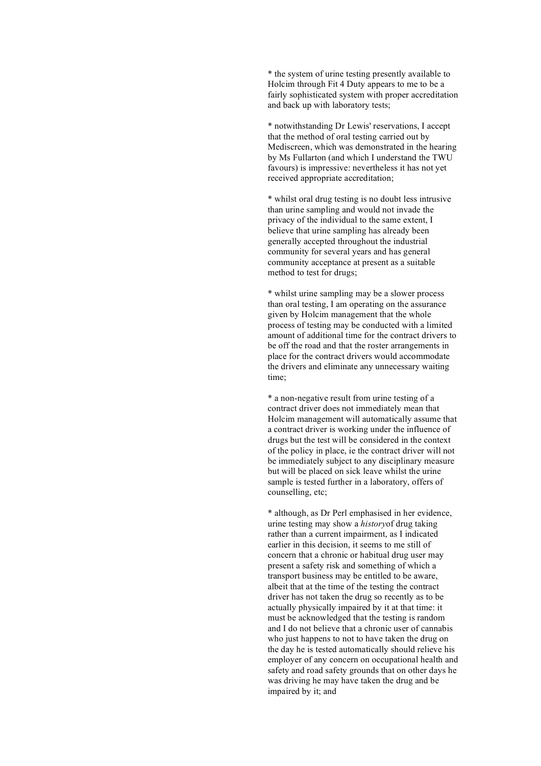\* the system of urine testing presently available to Holcim through Fit 4 Duty appears to me to be a fairly sophisticated system with proper accreditation and back up with laboratory tests;

\* notwithstanding Dr Lewis' reservations, I accept that the method of oral testing carried out by Mediscreen, which was demonstrated in the hearing by Ms Fullarton (and which I understand the TWU favours) is impressive: nevertheless it has not yet received appropriate accreditation;

\* whilst oral drug testing is no doubt less intrusive than urine sampling and would not invade the privacy of the individual to the same extent, I believe that urine sampling has already been generally accepted throughout the industrial community for several years and has general community acceptance at present as a suitable method to test for drugs;

\* whilst urine sampling may be a slower process than oral testing, I am operating on the assurance given by Holcim management that the whole process of testing may be conducted with a limited amount of additional time for the contract drivers to be off the road and that the roster arrangements in place for the contract drivers would accommodate the drivers and eliminate any unnecessary waiting time;

\* a non-negative result from urine testing of a contract driver does not immediately mean that Holcim management will automatically assume that a contract driver is working under the influence of drugs but the test will be considered in the context of the policy in place, ie the contract driver will not be immediately subject to any disciplinary measure but will be placed on sick leave whilst the urine sample is tested further in a laboratory, offers of counselling, etc;

\* although, as Dr Perl emphasised in her evidence, urine testing may show a *history*of drug taking rather than a current impairment, as I indicated earlier in this decision, it seems to me still of concern that a chronic or habitual drug user may present a safety risk and something of which a transport business may be entitled to be aware, albeit that at the time of the testing the contract driver has not taken the drug so recently as to be actually physically impaired by it at that time: it must be acknowledged that the testing is random and I do not believe that a chronic user of cannabis who just happens to not to have taken the drug on the day he is tested automatically should relieve his employer of any concern on occupational health and safety and road safety grounds that on other days he was driving he may have taken the drug and be impaired by it; and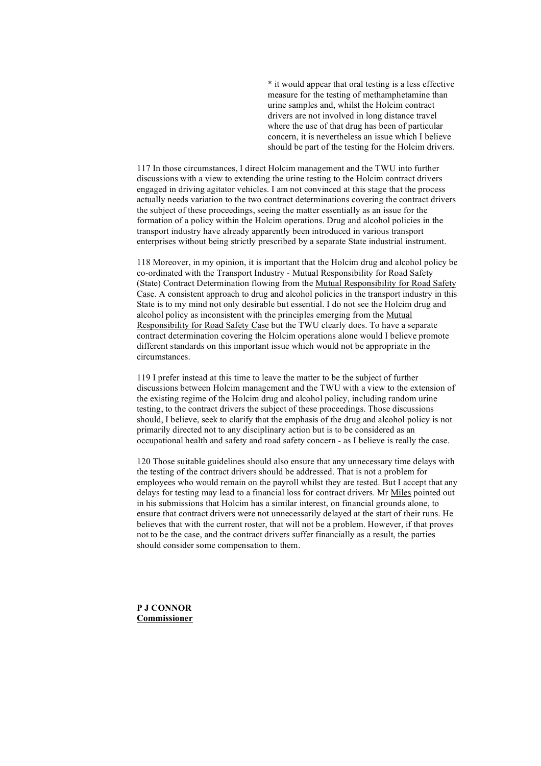\* it would appear that oral testing is a less effective measure for the testing of methamphetamine than urine samples and, whilst the Holcim contract drivers are not involved in long distance travel where the use of that drug has been of particular concern, it is nevertheless an issue which I believe should be part of the testing for the Holcim drivers.

117 In those circumstances, I direct Holcim management and the TWU into further discussions with a view to extending the urine testing to the Holcim contract drivers engaged in driving agitator vehicles. I am not convinced at this stage that the process actually needs variation to the two contract determinations covering the contract drivers the subject of these proceedings, seeing the matter essentially as an issue for the formation of a policy within the Holcim operations. Drug and alcohol policies in the transport industry have already apparently been introduced in various transport enterprises without being strictly prescribed by a separate State industrial instrument.

118 Moreover, in my opinion, it is important that the Holcim drug and alcohol policy be co-ordinated with the Transport Industry - Mutual Responsibility for Road Safety (State) Contract Determination flowing from the Mutual Responsibility for Road Safety Case. A consistent approach to drug and alcohol policies in the transport industry in this State is to my mind not only desirable but essential. I do not see the Holcim drug and alcohol policy as inconsistent with the principles emerging from the Mutual Responsibility for Road Safety Case but the TWU clearly does. To have a separate contract determination covering the Holcim operations alone would I believe promote different standards on this important issue which would not be appropriate in the circumstances.

119 I prefer instead at this time to leave the matter to be the subject of further discussions between Holcim management and the TWU with a view to the extension of the existing regime of the Holcim drug and alcohol policy, including random urine testing, to the contract drivers the subject of these proceedings. Those discussions should, I believe, seek to clarify that the emphasis of the drug and alcohol policy is not primarily directed not to any disciplinary action but is to be considered as an occupational health and safety and road safety concern - as I believe is really the case.

120 Those suitable guidelines should also ensure that any unnecessary time delays with the testing of the contract drivers should be addressed. That is not a problem for employees who would remain on the payroll whilst they are tested. But I accept that any delays for testing may lead to a financial loss for contract drivers. Mr Miles pointed out in his submissions that Holcim has a similar interest, on financial grounds alone, to ensure that contract drivers were not unnecessarily delayed at the start of their runs. He believes that with the current roster, that will not be a problem. However, if that proves not to be the case, and the contract drivers suffer financially as a result, the parties should consider some compensation to them.

**P J CONNOR Commissioner**